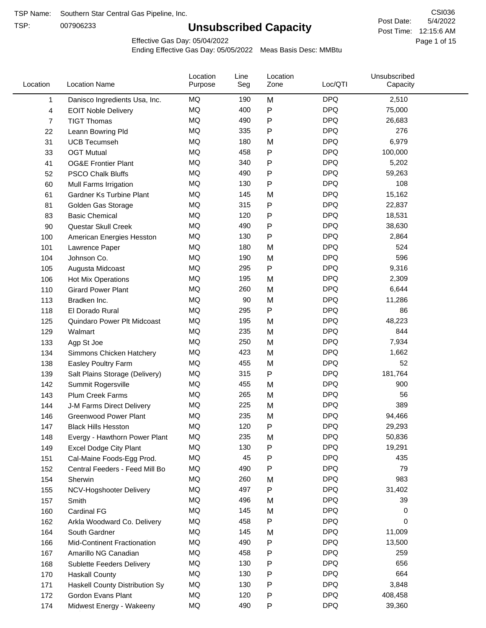TSP:

# **Unsubscribed Capacity**

5/4/2022 Page 1 of 15 Post Time: 12:15:6 AM CSI036 Post Date:

Effective Gas Day: 05/04/2022

| <b>DPQ</b><br>MQ<br>190<br>M<br>2,510<br>Danisco Ingredients Usa, Inc.<br>1<br><b>MQ</b><br><b>DPQ</b><br>400<br>P<br>75,000<br>4<br><b>EOIT Noble Delivery</b><br>P<br><b>DPQ</b><br>MQ<br>490<br>26,683<br><b>TIGT Thomas</b><br>7<br><b>MQ</b><br><b>DPQ</b><br>335<br>276<br>Ρ<br>22<br>Leann Bowring Pld<br>MQ<br><b>DPQ</b><br>180<br>6,979<br>31<br>M<br><b>UCB Tecumseh</b><br>MQ<br><b>DPQ</b><br>458<br>Ρ<br>100,000<br>33<br><b>OGT Mutual</b><br><b>MQ</b><br><b>DPQ</b><br>340<br>P<br>5,202<br><b>OG&amp;E Frontier Plant</b><br>41<br>MQ<br><b>DPQ</b><br>490<br>59,263<br>Ρ<br>52<br><b>PSCO Chalk Bluffs</b><br>MQ<br>P<br><b>DPQ</b><br>60<br>130<br>108<br>Mull Farms Irrigation<br><b>DPQ</b><br>MQ<br>15,162<br>145<br>M<br>61<br><b>Gardner Ks Turbine Plant</b><br><b>DPQ</b><br>MQ<br>315<br>Ρ<br>22,837<br>81<br>Golden Gas Storage<br>Ρ<br><b>DPQ</b><br>MQ<br>120<br>18,531<br>83<br><b>Basic Chemical</b><br><b>MQ</b><br><b>DPQ</b><br>490<br>38,630<br>90<br>Ρ<br>Questar Skull Creek<br>MQ<br>P<br><b>DPQ</b><br>130<br>2,864<br>100<br>American Energies Hesston<br>MQ<br><b>DPQ</b><br>180<br>524<br>M<br>101<br>Lawrence Paper<br>MQ<br><b>DPQ</b><br>596<br>190<br>M<br>104<br>Johnson Co.<br><b>DPQ</b><br>MQ<br>295<br>P<br>9,316<br>105<br>Augusta Midcoast<br><b>DPQ</b><br>MQ<br>195<br>2,309<br>106<br>M<br>Hot Mix Operations<br><b>DPQ</b><br>MQ<br>260<br>6,644<br>110<br>M<br><b>Girard Power Plant</b><br><b>DPQ</b><br>MQ<br>M<br>Bradken Inc.<br>90<br>11,286<br>113<br><b>MQ</b><br><b>DPQ</b><br>295<br>86<br>Ρ<br>118<br>El Dorado Rural<br>MQ<br><b>DPQ</b><br>195<br>M<br>48,223<br>125<br>Quindaro Power Plt Midcoast<br>MQ<br><b>DPQ</b><br>235<br>844<br>129<br>M<br>Walmart<br>MQ<br><b>DPQ</b><br>250<br>M<br>7,934<br>133<br>Agp St Joe<br><b>DPQ</b><br>MQ<br>423<br>M<br>1,662<br>134<br>Simmons Chicken Hatchery<br><b>DPQ</b><br>MQ<br>455<br>52<br>138<br>Easley Poultry Farm<br>M<br>P<br><b>DPQ</b><br>MQ<br>315<br>181,764<br>139<br>Salt Plains Storage (Delivery)<br>MQ<br><b>DPQ</b><br>455<br>900<br>M<br>142<br>Summit Rogersville<br><b>DPQ</b><br>MQ<br>265<br>M<br>56<br>143<br><b>Plum Creek Farms</b><br><b>DPQ</b><br>389<br>MQ<br>225<br>M<br>144<br>J-M Farms Direct Delivery<br><b>MQ</b><br>235<br><b>DPQ</b><br>M<br><b>Greenwood Power Plant</b><br>94,466<br>146<br>MQ<br>120<br><b>DPQ</b><br>29,293<br>Ρ<br>147<br><b>Black Hills Hesston</b><br><b>DPQ</b><br>ΜQ<br>235<br>50,836<br>M<br>148<br>Evergy - Hawthorn Power Plant<br>MQ<br><b>DPQ</b><br>19,291<br>130<br>Ρ<br>149<br><b>Excel Dodge City Plant</b><br>MQ<br>45<br>Ρ<br><b>DPQ</b><br>435<br>151<br>Cal-Maine Foods-Egg Prod.<br>MQ<br><b>DPQ</b><br>79<br>490<br>Ρ<br>152<br>Central Feeders - Feed Mill Bo<br>MQ<br><b>DPQ</b><br>260<br>983<br>154<br>Sherwin<br>M<br>MQ<br>497<br><b>DPQ</b><br>31,402<br>Ρ<br>NCV-Hogshooter Delivery<br>155<br>MQ<br>496<br><b>DPQ</b><br>39<br>157<br>Smith<br>M<br>MQ<br>145<br><b>DPQ</b><br>160<br>Cardinal FG<br>M<br>0<br><b>DPQ</b><br>MQ<br>458<br>P<br>0<br>162<br>Arkla Woodward Co. Delivery<br>MQ<br><b>DPQ</b><br>145<br>11,009<br>164<br>M<br>South Gardner<br>MQ<br>490<br><b>DPQ</b><br>Ρ<br>13,500<br>Mid-Continent Fractionation<br>166<br>MQ<br>458<br>Ρ<br><b>DPQ</b><br>259<br>167<br>Amarillo NG Canadian<br>MQ<br><b>DPQ</b><br>656<br>130<br>168<br>Ρ<br>Sublette Feeders Delivery<br>MQ<br><b>DPQ</b><br>130<br>Ρ<br>664<br>170<br><b>Haskall County</b><br>MQ<br>130<br><b>DPQ</b><br>Haskell County Distribution Sy<br>Ρ<br>3,848<br>171<br><b>DPQ</b><br>MQ<br>120<br>Ρ<br>408,458<br>Gordon Evans Plant<br>172<br>MQ<br>490<br><b>DPQ</b><br>P<br>39,360<br>174<br>Midwest Energy - Wakeeny | Location | <b>Location Name</b> | Location<br>Purpose | Line<br>Seg | Location<br>Zone | Loc/QTI | Unsubscribed<br>Capacity |  |
|---------------------------------------------------------------------------------------------------------------------------------------------------------------------------------------------------------------------------------------------------------------------------------------------------------------------------------------------------------------------------------------------------------------------------------------------------------------------------------------------------------------------------------------------------------------------------------------------------------------------------------------------------------------------------------------------------------------------------------------------------------------------------------------------------------------------------------------------------------------------------------------------------------------------------------------------------------------------------------------------------------------------------------------------------------------------------------------------------------------------------------------------------------------------------------------------------------------------------------------------------------------------------------------------------------------------------------------------------------------------------------------------------------------------------------------------------------------------------------------------------------------------------------------------------------------------------------------------------------------------------------------------------------------------------------------------------------------------------------------------------------------------------------------------------------------------------------------------------------------------------------------------------------------------------------------------------------------------------------------------------------------------------------------------------------------------------------------------------------------------------------------------------------------------------------------------------------------------------------------------------------------------------------------------------------------------------------------------------------------------------------------------------------------------------------------------------------------------------------------------------------------------------------------------------------------------------------------------------------------------------------------------------------------------------------------------------------------------------------------------------------------------------------------------------------------------------------------------------------------------------------------------------------------------------------------------------------------------------------------------------------------------------------------------------------------------------------------------------------------------------------------------------------------------------------------------------------------------------------------------------------------------------------------------------------------------------------------------------------------------------------------------------------------------------------------------------------------------------------------------------------------------------------------------------------------------------------------------------------------------------------------------------------------------------------------------------------------------|----------|----------------------|---------------------|-------------|------------------|---------|--------------------------|--|
|                                                                                                                                                                                                                                                                                                                                                                                                                                                                                                                                                                                                                                                                                                                                                                                                                                                                                                                                                                                                                                                                                                                                                                                                                                                                                                                                                                                                                                                                                                                                                                                                                                                                                                                                                                                                                                                                                                                                                                                                                                                                                                                                                                                                                                                                                                                                                                                                                                                                                                                                                                                                                                                                                                                                                                                                                                                                                                                                                                                                                                                                                                                                                                                                                                                                                                                                                                                                                                                                                                                                                                                                                                                                                                                     |          |                      |                     |             |                  |         |                          |  |
|                                                                                                                                                                                                                                                                                                                                                                                                                                                                                                                                                                                                                                                                                                                                                                                                                                                                                                                                                                                                                                                                                                                                                                                                                                                                                                                                                                                                                                                                                                                                                                                                                                                                                                                                                                                                                                                                                                                                                                                                                                                                                                                                                                                                                                                                                                                                                                                                                                                                                                                                                                                                                                                                                                                                                                                                                                                                                                                                                                                                                                                                                                                                                                                                                                                                                                                                                                                                                                                                                                                                                                                                                                                                                                                     |          |                      |                     |             |                  |         |                          |  |
|                                                                                                                                                                                                                                                                                                                                                                                                                                                                                                                                                                                                                                                                                                                                                                                                                                                                                                                                                                                                                                                                                                                                                                                                                                                                                                                                                                                                                                                                                                                                                                                                                                                                                                                                                                                                                                                                                                                                                                                                                                                                                                                                                                                                                                                                                                                                                                                                                                                                                                                                                                                                                                                                                                                                                                                                                                                                                                                                                                                                                                                                                                                                                                                                                                                                                                                                                                                                                                                                                                                                                                                                                                                                                                                     |          |                      |                     |             |                  |         |                          |  |
|                                                                                                                                                                                                                                                                                                                                                                                                                                                                                                                                                                                                                                                                                                                                                                                                                                                                                                                                                                                                                                                                                                                                                                                                                                                                                                                                                                                                                                                                                                                                                                                                                                                                                                                                                                                                                                                                                                                                                                                                                                                                                                                                                                                                                                                                                                                                                                                                                                                                                                                                                                                                                                                                                                                                                                                                                                                                                                                                                                                                                                                                                                                                                                                                                                                                                                                                                                                                                                                                                                                                                                                                                                                                                                                     |          |                      |                     |             |                  |         |                          |  |
|                                                                                                                                                                                                                                                                                                                                                                                                                                                                                                                                                                                                                                                                                                                                                                                                                                                                                                                                                                                                                                                                                                                                                                                                                                                                                                                                                                                                                                                                                                                                                                                                                                                                                                                                                                                                                                                                                                                                                                                                                                                                                                                                                                                                                                                                                                                                                                                                                                                                                                                                                                                                                                                                                                                                                                                                                                                                                                                                                                                                                                                                                                                                                                                                                                                                                                                                                                                                                                                                                                                                                                                                                                                                                                                     |          |                      |                     |             |                  |         |                          |  |
|                                                                                                                                                                                                                                                                                                                                                                                                                                                                                                                                                                                                                                                                                                                                                                                                                                                                                                                                                                                                                                                                                                                                                                                                                                                                                                                                                                                                                                                                                                                                                                                                                                                                                                                                                                                                                                                                                                                                                                                                                                                                                                                                                                                                                                                                                                                                                                                                                                                                                                                                                                                                                                                                                                                                                                                                                                                                                                                                                                                                                                                                                                                                                                                                                                                                                                                                                                                                                                                                                                                                                                                                                                                                                                                     |          |                      |                     |             |                  |         |                          |  |
|                                                                                                                                                                                                                                                                                                                                                                                                                                                                                                                                                                                                                                                                                                                                                                                                                                                                                                                                                                                                                                                                                                                                                                                                                                                                                                                                                                                                                                                                                                                                                                                                                                                                                                                                                                                                                                                                                                                                                                                                                                                                                                                                                                                                                                                                                                                                                                                                                                                                                                                                                                                                                                                                                                                                                                                                                                                                                                                                                                                                                                                                                                                                                                                                                                                                                                                                                                                                                                                                                                                                                                                                                                                                                                                     |          |                      |                     |             |                  |         |                          |  |
|                                                                                                                                                                                                                                                                                                                                                                                                                                                                                                                                                                                                                                                                                                                                                                                                                                                                                                                                                                                                                                                                                                                                                                                                                                                                                                                                                                                                                                                                                                                                                                                                                                                                                                                                                                                                                                                                                                                                                                                                                                                                                                                                                                                                                                                                                                                                                                                                                                                                                                                                                                                                                                                                                                                                                                                                                                                                                                                                                                                                                                                                                                                                                                                                                                                                                                                                                                                                                                                                                                                                                                                                                                                                                                                     |          |                      |                     |             |                  |         |                          |  |
|                                                                                                                                                                                                                                                                                                                                                                                                                                                                                                                                                                                                                                                                                                                                                                                                                                                                                                                                                                                                                                                                                                                                                                                                                                                                                                                                                                                                                                                                                                                                                                                                                                                                                                                                                                                                                                                                                                                                                                                                                                                                                                                                                                                                                                                                                                                                                                                                                                                                                                                                                                                                                                                                                                                                                                                                                                                                                                                                                                                                                                                                                                                                                                                                                                                                                                                                                                                                                                                                                                                                                                                                                                                                                                                     |          |                      |                     |             |                  |         |                          |  |
|                                                                                                                                                                                                                                                                                                                                                                                                                                                                                                                                                                                                                                                                                                                                                                                                                                                                                                                                                                                                                                                                                                                                                                                                                                                                                                                                                                                                                                                                                                                                                                                                                                                                                                                                                                                                                                                                                                                                                                                                                                                                                                                                                                                                                                                                                                                                                                                                                                                                                                                                                                                                                                                                                                                                                                                                                                                                                                                                                                                                                                                                                                                                                                                                                                                                                                                                                                                                                                                                                                                                                                                                                                                                                                                     |          |                      |                     |             |                  |         |                          |  |
|                                                                                                                                                                                                                                                                                                                                                                                                                                                                                                                                                                                                                                                                                                                                                                                                                                                                                                                                                                                                                                                                                                                                                                                                                                                                                                                                                                                                                                                                                                                                                                                                                                                                                                                                                                                                                                                                                                                                                                                                                                                                                                                                                                                                                                                                                                                                                                                                                                                                                                                                                                                                                                                                                                                                                                                                                                                                                                                                                                                                                                                                                                                                                                                                                                                                                                                                                                                                                                                                                                                                                                                                                                                                                                                     |          |                      |                     |             |                  |         |                          |  |
|                                                                                                                                                                                                                                                                                                                                                                                                                                                                                                                                                                                                                                                                                                                                                                                                                                                                                                                                                                                                                                                                                                                                                                                                                                                                                                                                                                                                                                                                                                                                                                                                                                                                                                                                                                                                                                                                                                                                                                                                                                                                                                                                                                                                                                                                                                                                                                                                                                                                                                                                                                                                                                                                                                                                                                                                                                                                                                                                                                                                                                                                                                                                                                                                                                                                                                                                                                                                                                                                                                                                                                                                                                                                                                                     |          |                      |                     |             |                  |         |                          |  |
|                                                                                                                                                                                                                                                                                                                                                                                                                                                                                                                                                                                                                                                                                                                                                                                                                                                                                                                                                                                                                                                                                                                                                                                                                                                                                                                                                                                                                                                                                                                                                                                                                                                                                                                                                                                                                                                                                                                                                                                                                                                                                                                                                                                                                                                                                                                                                                                                                                                                                                                                                                                                                                                                                                                                                                                                                                                                                                                                                                                                                                                                                                                                                                                                                                                                                                                                                                                                                                                                                                                                                                                                                                                                                                                     |          |                      |                     |             |                  |         |                          |  |
|                                                                                                                                                                                                                                                                                                                                                                                                                                                                                                                                                                                                                                                                                                                                                                                                                                                                                                                                                                                                                                                                                                                                                                                                                                                                                                                                                                                                                                                                                                                                                                                                                                                                                                                                                                                                                                                                                                                                                                                                                                                                                                                                                                                                                                                                                                                                                                                                                                                                                                                                                                                                                                                                                                                                                                                                                                                                                                                                                                                                                                                                                                                                                                                                                                                                                                                                                                                                                                                                                                                                                                                                                                                                                                                     |          |                      |                     |             |                  |         |                          |  |
|                                                                                                                                                                                                                                                                                                                                                                                                                                                                                                                                                                                                                                                                                                                                                                                                                                                                                                                                                                                                                                                                                                                                                                                                                                                                                                                                                                                                                                                                                                                                                                                                                                                                                                                                                                                                                                                                                                                                                                                                                                                                                                                                                                                                                                                                                                                                                                                                                                                                                                                                                                                                                                                                                                                                                                                                                                                                                                                                                                                                                                                                                                                                                                                                                                                                                                                                                                                                                                                                                                                                                                                                                                                                                                                     |          |                      |                     |             |                  |         |                          |  |
|                                                                                                                                                                                                                                                                                                                                                                                                                                                                                                                                                                                                                                                                                                                                                                                                                                                                                                                                                                                                                                                                                                                                                                                                                                                                                                                                                                                                                                                                                                                                                                                                                                                                                                                                                                                                                                                                                                                                                                                                                                                                                                                                                                                                                                                                                                                                                                                                                                                                                                                                                                                                                                                                                                                                                                                                                                                                                                                                                                                                                                                                                                                                                                                                                                                                                                                                                                                                                                                                                                                                                                                                                                                                                                                     |          |                      |                     |             |                  |         |                          |  |
|                                                                                                                                                                                                                                                                                                                                                                                                                                                                                                                                                                                                                                                                                                                                                                                                                                                                                                                                                                                                                                                                                                                                                                                                                                                                                                                                                                                                                                                                                                                                                                                                                                                                                                                                                                                                                                                                                                                                                                                                                                                                                                                                                                                                                                                                                                                                                                                                                                                                                                                                                                                                                                                                                                                                                                                                                                                                                                                                                                                                                                                                                                                                                                                                                                                                                                                                                                                                                                                                                                                                                                                                                                                                                                                     |          |                      |                     |             |                  |         |                          |  |
|                                                                                                                                                                                                                                                                                                                                                                                                                                                                                                                                                                                                                                                                                                                                                                                                                                                                                                                                                                                                                                                                                                                                                                                                                                                                                                                                                                                                                                                                                                                                                                                                                                                                                                                                                                                                                                                                                                                                                                                                                                                                                                                                                                                                                                                                                                                                                                                                                                                                                                                                                                                                                                                                                                                                                                                                                                                                                                                                                                                                                                                                                                                                                                                                                                                                                                                                                                                                                                                                                                                                                                                                                                                                                                                     |          |                      |                     |             |                  |         |                          |  |
|                                                                                                                                                                                                                                                                                                                                                                                                                                                                                                                                                                                                                                                                                                                                                                                                                                                                                                                                                                                                                                                                                                                                                                                                                                                                                                                                                                                                                                                                                                                                                                                                                                                                                                                                                                                                                                                                                                                                                                                                                                                                                                                                                                                                                                                                                                                                                                                                                                                                                                                                                                                                                                                                                                                                                                                                                                                                                                                                                                                                                                                                                                                                                                                                                                                                                                                                                                                                                                                                                                                                                                                                                                                                                                                     |          |                      |                     |             |                  |         |                          |  |
|                                                                                                                                                                                                                                                                                                                                                                                                                                                                                                                                                                                                                                                                                                                                                                                                                                                                                                                                                                                                                                                                                                                                                                                                                                                                                                                                                                                                                                                                                                                                                                                                                                                                                                                                                                                                                                                                                                                                                                                                                                                                                                                                                                                                                                                                                                                                                                                                                                                                                                                                                                                                                                                                                                                                                                                                                                                                                                                                                                                                                                                                                                                                                                                                                                                                                                                                                                                                                                                                                                                                                                                                                                                                                                                     |          |                      |                     |             |                  |         |                          |  |
|                                                                                                                                                                                                                                                                                                                                                                                                                                                                                                                                                                                                                                                                                                                                                                                                                                                                                                                                                                                                                                                                                                                                                                                                                                                                                                                                                                                                                                                                                                                                                                                                                                                                                                                                                                                                                                                                                                                                                                                                                                                                                                                                                                                                                                                                                                                                                                                                                                                                                                                                                                                                                                                                                                                                                                                                                                                                                                                                                                                                                                                                                                                                                                                                                                                                                                                                                                                                                                                                                                                                                                                                                                                                                                                     |          |                      |                     |             |                  |         |                          |  |
|                                                                                                                                                                                                                                                                                                                                                                                                                                                                                                                                                                                                                                                                                                                                                                                                                                                                                                                                                                                                                                                                                                                                                                                                                                                                                                                                                                                                                                                                                                                                                                                                                                                                                                                                                                                                                                                                                                                                                                                                                                                                                                                                                                                                                                                                                                                                                                                                                                                                                                                                                                                                                                                                                                                                                                                                                                                                                                                                                                                                                                                                                                                                                                                                                                                                                                                                                                                                                                                                                                                                                                                                                                                                                                                     |          |                      |                     |             |                  |         |                          |  |
|                                                                                                                                                                                                                                                                                                                                                                                                                                                                                                                                                                                                                                                                                                                                                                                                                                                                                                                                                                                                                                                                                                                                                                                                                                                                                                                                                                                                                                                                                                                                                                                                                                                                                                                                                                                                                                                                                                                                                                                                                                                                                                                                                                                                                                                                                                                                                                                                                                                                                                                                                                                                                                                                                                                                                                                                                                                                                                                                                                                                                                                                                                                                                                                                                                                                                                                                                                                                                                                                                                                                                                                                                                                                                                                     |          |                      |                     |             |                  |         |                          |  |
|                                                                                                                                                                                                                                                                                                                                                                                                                                                                                                                                                                                                                                                                                                                                                                                                                                                                                                                                                                                                                                                                                                                                                                                                                                                                                                                                                                                                                                                                                                                                                                                                                                                                                                                                                                                                                                                                                                                                                                                                                                                                                                                                                                                                                                                                                                                                                                                                                                                                                                                                                                                                                                                                                                                                                                                                                                                                                                                                                                                                                                                                                                                                                                                                                                                                                                                                                                                                                                                                                                                                                                                                                                                                                                                     |          |                      |                     |             |                  |         |                          |  |
|                                                                                                                                                                                                                                                                                                                                                                                                                                                                                                                                                                                                                                                                                                                                                                                                                                                                                                                                                                                                                                                                                                                                                                                                                                                                                                                                                                                                                                                                                                                                                                                                                                                                                                                                                                                                                                                                                                                                                                                                                                                                                                                                                                                                                                                                                                                                                                                                                                                                                                                                                                                                                                                                                                                                                                                                                                                                                                                                                                                                                                                                                                                                                                                                                                                                                                                                                                                                                                                                                                                                                                                                                                                                                                                     |          |                      |                     |             |                  |         |                          |  |
|                                                                                                                                                                                                                                                                                                                                                                                                                                                                                                                                                                                                                                                                                                                                                                                                                                                                                                                                                                                                                                                                                                                                                                                                                                                                                                                                                                                                                                                                                                                                                                                                                                                                                                                                                                                                                                                                                                                                                                                                                                                                                                                                                                                                                                                                                                                                                                                                                                                                                                                                                                                                                                                                                                                                                                                                                                                                                                                                                                                                                                                                                                                                                                                                                                                                                                                                                                                                                                                                                                                                                                                                                                                                                                                     |          |                      |                     |             |                  |         |                          |  |
|                                                                                                                                                                                                                                                                                                                                                                                                                                                                                                                                                                                                                                                                                                                                                                                                                                                                                                                                                                                                                                                                                                                                                                                                                                                                                                                                                                                                                                                                                                                                                                                                                                                                                                                                                                                                                                                                                                                                                                                                                                                                                                                                                                                                                                                                                                                                                                                                                                                                                                                                                                                                                                                                                                                                                                                                                                                                                                                                                                                                                                                                                                                                                                                                                                                                                                                                                                                                                                                                                                                                                                                                                                                                                                                     |          |                      |                     |             |                  |         |                          |  |
|                                                                                                                                                                                                                                                                                                                                                                                                                                                                                                                                                                                                                                                                                                                                                                                                                                                                                                                                                                                                                                                                                                                                                                                                                                                                                                                                                                                                                                                                                                                                                                                                                                                                                                                                                                                                                                                                                                                                                                                                                                                                                                                                                                                                                                                                                                                                                                                                                                                                                                                                                                                                                                                                                                                                                                                                                                                                                                                                                                                                                                                                                                                                                                                                                                                                                                                                                                                                                                                                                                                                                                                                                                                                                                                     |          |                      |                     |             |                  |         |                          |  |
|                                                                                                                                                                                                                                                                                                                                                                                                                                                                                                                                                                                                                                                                                                                                                                                                                                                                                                                                                                                                                                                                                                                                                                                                                                                                                                                                                                                                                                                                                                                                                                                                                                                                                                                                                                                                                                                                                                                                                                                                                                                                                                                                                                                                                                                                                                                                                                                                                                                                                                                                                                                                                                                                                                                                                                                                                                                                                                                                                                                                                                                                                                                                                                                                                                                                                                                                                                                                                                                                                                                                                                                                                                                                                                                     |          |                      |                     |             |                  |         |                          |  |
|                                                                                                                                                                                                                                                                                                                                                                                                                                                                                                                                                                                                                                                                                                                                                                                                                                                                                                                                                                                                                                                                                                                                                                                                                                                                                                                                                                                                                                                                                                                                                                                                                                                                                                                                                                                                                                                                                                                                                                                                                                                                                                                                                                                                                                                                                                                                                                                                                                                                                                                                                                                                                                                                                                                                                                                                                                                                                                                                                                                                                                                                                                                                                                                                                                                                                                                                                                                                                                                                                                                                                                                                                                                                                                                     |          |                      |                     |             |                  |         |                          |  |
|                                                                                                                                                                                                                                                                                                                                                                                                                                                                                                                                                                                                                                                                                                                                                                                                                                                                                                                                                                                                                                                                                                                                                                                                                                                                                                                                                                                                                                                                                                                                                                                                                                                                                                                                                                                                                                                                                                                                                                                                                                                                                                                                                                                                                                                                                                                                                                                                                                                                                                                                                                                                                                                                                                                                                                                                                                                                                                                                                                                                                                                                                                                                                                                                                                                                                                                                                                                                                                                                                                                                                                                                                                                                                                                     |          |                      |                     |             |                  |         |                          |  |
|                                                                                                                                                                                                                                                                                                                                                                                                                                                                                                                                                                                                                                                                                                                                                                                                                                                                                                                                                                                                                                                                                                                                                                                                                                                                                                                                                                                                                                                                                                                                                                                                                                                                                                                                                                                                                                                                                                                                                                                                                                                                                                                                                                                                                                                                                                                                                                                                                                                                                                                                                                                                                                                                                                                                                                                                                                                                                                                                                                                                                                                                                                                                                                                                                                                                                                                                                                                                                                                                                                                                                                                                                                                                                                                     |          |                      |                     |             |                  |         |                          |  |
|                                                                                                                                                                                                                                                                                                                                                                                                                                                                                                                                                                                                                                                                                                                                                                                                                                                                                                                                                                                                                                                                                                                                                                                                                                                                                                                                                                                                                                                                                                                                                                                                                                                                                                                                                                                                                                                                                                                                                                                                                                                                                                                                                                                                                                                                                                                                                                                                                                                                                                                                                                                                                                                                                                                                                                                                                                                                                                                                                                                                                                                                                                                                                                                                                                                                                                                                                                                                                                                                                                                                                                                                                                                                                                                     |          |                      |                     |             |                  |         |                          |  |
|                                                                                                                                                                                                                                                                                                                                                                                                                                                                                                                                                                                                                                                                                                                                                                                                                                                                                                                                                                                                                                                                                                                                                                                                                                                                                                                                                                                                                                                                                                                                                                                                                                                                                                                                                                                                                                                                                                                                                                                                                                                                                                                                                                                                                                                                                                                                                                                                                                                                                                                                                                                                                                                                                                                                                                                                                                                                                                                                                                                                                                                                                                                                                                                                                                                                                                                                                                                                                                                                                                                                                                                                                                                                                                                     |          |                      |                     |             |                  |         |                          |  |
|                                                                                                                                                                                                                                                                                                                                                                                                                                                                                                                                                                                                                                                                                                                                                                                                                                                                                                                                                                                                                                                                                                                                                                                                                                                                                                                                                                                                                                                                                                                                                                                                                                                                                                                                                                                                                                                                                                                                                                                                                                                                                                                                                                                                                                                                                                                                                                                                                                                                                                                                                                                                                                                                                                                                                                                                                                                                                                                                                                                                                                                                                                                                                                                                                                                                                                                                                                                                                                                                                                                                                                                                                                                                                                                     |          |                      |                     |             |                  |         |                          |  |
|                                                                                                                                                                                                                                                                                                                                                                                                                                                                                                                                                                                                                                                                                                                                                                                                                                                                                                                                                                                                                                                                                                                                                                                                                                                                                                                                                                                                                                                                                                                                                                                                                                                                                                                                                                                                                                                                                                                                                                                                                                                                                                                                                                                                                                                                                                                                                                                                                                                                                                                                                                                                                                                                                                                                                                                                                                                                                                                                                                                                                                                                                                                                                                                                                                                                                                                                                                                                                                                                                                                                                                                                                                                                                                                     |          |                      |                     |             |                  |         |                          |  |
|                                                                                                                                                                                                                                                                                                                                                                                                                                                                                                                                                                                                                                                                                                                                                                                                                                                                                                                                                                                                                                                                                                                                                                                                                                                                                                                                                                                                                                                                                                                                                                                                                                                                                                                                                                                                                                                                                                                                                                                                                                                                                                                                                                                                                                                                                                                                                                                                                                                                                                                                                                                                                                                                                                                                                                                                                                                                                                                                                                                                                                                                                                                                                                                                                                                                                                                                                                                                                                                                                                                                                                                                                                                                                                                     |          |                      |                     |             |                  |         |                          |  |
|                                                                                                                                                                                                                                                                                                                                                                                                                                                                                                                                                                                                                                                                                                                                                                                                                                                                                                                                                                                                                                                                                                                                                                                                                                                                                                                                                                                                                                                                                                                                                                                                                                                                                                                                                                                                                                                                                                                                                                                                                                                                                                                                                                                                                                                                                                                                                                                                                                                                                                                                                                                                                                                                                                                                                                                                                                                                                                                                                                                                                                                                                                                                                                                                                                                                                                                                                                                                                                                                                                                                                                                                                                                                                                                     |          |                      |                     |             |                  |         |                          |  |
|                                                                                                                                                                                                                                                                                                                                                                                                                                                                                                                                                                                                                                                                                                                                                                                                                                                                                                                                                                                                                                                                                                                                                                                                                                                                                                                                                                                                                                                                                                                                                                                                                                                                                                                                                                                                                                                                                                                                                                                                                                                                                                                                                                                                                                                                                                                                                                                                                                                                                                                                                                                                                                                                                                                                                                                                                                                                                                                                                                                                                                                                                                                                                                                                                                                                                                                                                                                                                                                                                                                                                                                                                                                                                                                     |          |                      |                     |             |                  |         |                          |  |
|                                                                                                                                                                                                                                                                                                                                                                                                                                                                                                                                                                                                                                                                                                                                                                                                                                                                                                                                                                                                                                                                                                                                                                                                                                                                                                                                                                                                                                                                                                                                                                                                                                                                                                                                                                                                                                                                                                                                                                                                                                                                                                                                                                                                                                                                                                                                                                                                                                                                                                                                                                                                                                                                                                                                                                                                                                                                                                                                                                                                                                                                                                                                                                                                                                                                                                                                                                                                                                                                                                                                                                                                                                                                                                                     |          |                      |                     |             |                  |         |                          |  |
|                                                                                                                                                                                                                                                                                                                                                                                                                                                                                                                                                                                                                                                                                                                                                                                                                                                                                                                                                                                                                                                                                                                                                                                                                                                                                                                                                                                                                                                                                                                                                                                                                                                                                                                                                                                                                                                                                                                                                                                                                                                                                                                                                                                                                                                                                                                                                                                                                                                                                                                                                                                                                                                                                                                                                                                                                                                                                                                                                                                                                                                                                                                                                                                                                                                                                                                                                                                                                                                                                                                                                                                                                                                                                                                     |          |                      |                     |             |                  |         |                          |  |
|                                                                                                                                                                                                                                                                                                                                                                                                                                                                                                                                                                                                                                                                                                                                                                                                                                                                                                                                                                                                                                                                                                                                                                                                                                                                                                                                                                                                                                                                                                                                                                                                                                                                                                                                                                                                                                                                                                                                                                                                                                                                                                                                                                                                                                                                                                                                                                                                                                                                                                                                                                                                                                                                                                                                                                                                                                                                                                                                                                                                                                                                                                                                                                                                                                                                                                                                                                                                                                                                                                                                                                                                                                                                                                                     |          |                      |                     |             |                  |         |                          |  |
|                                                                                                                                                                                                                                                                                                                                                                                                                                                                                                                                                                                                                                                                                                                                                                                                                                                                                                                                                                                                                                                                                                                                                                                                                                                                                                                                                                                                                                                                                                                                                                                                                                                                                                                                                                                                                                                                                                                                                                                                                                                                                                                                                                                                                                                                                                                                                                                                                                                                                                                                                                                                                                                                                                                                                                                                                                                                                                                                                                                                                                                                                                                                                                                                                                                                                                                                                                                                                                                                                                                                                                                                                                                                                                                     |          |                      |                     |             |                  |         |                          |  |
|                                                                                                                                                                                                                                                                                                                                                                                                                                                                                                                                                                                                                                                                                                                                                                                                                                                                                                                                                                                                                                                                                                                                                                                                                                                                                                                                                                                                                                                                                                                                                                                                                                                                                                                                                                                                                                                                                                                                                                                                                                                                                                                                                                                                                                                                                                                                                                                                                                                                                                                                                                                                                                                                                                                                                                                                                                                                                                                                                                                                                                                                                                                                                                                                                                                                                                                                                                                                                                                                                                                                                                                                                                                                                                                     |          |                      |                     |             |                  |         |                          |  |
|                                                                                                                                                                                                                                                                                                                                                                                                                                                                                                                                                                                                                                                                                                                                                                                                                                                                                                                                                                                                                                                                                                                                                                                                                                                                                                                                                                                                                                                                                                                                                                                                                                                                                                                                                                                                                                                                                                                                                                                                                                                                                                                                                                                                                                                                                                                                                                                                                                                                                                                                                                                                                                                                                                                                                                                                                                                                                                                                                                                                                                                                                                                                                                                                                                                                                                                                                                                                                                                                                                                                                                                                                                                                                                                     |          |                      |                     |             |                  |         |                          |  |
|                                                                                                                                                                                                                                                                                                                                                                                                                                                                                                                                                                                                                                                                                                                                                                                                                                                                                                                                                                                                                                                                                                                                                                                                                                                                                                                                                                                                                                                                                                                                                                                                                                                                                                                                                                                                                                                                                                                                                                                                                                                                                                                                                                                                                                                                                                                                                                                                                                                                                                                                                                                                                                                                                                                                                                                                                                                                                                                                                                                                                                                                                                                                                                                                                                                                                                                                                                                                                                                                                                                                                                                                                                                                                                                     |          |                      |                     |             |                  |         |                          |  |
|                                                                                                                                                                                                                                                                                                                                                                                                                                                                                                                                                                                                                                                                                                                                                                                                                                                                                                                                                                                                                                                                                                                                                                                                                                                                                                                                                                                                                                                                                                                                                                                                                                                                                                                                                                                                                                                                                                                                                                                                                                                                                                                                                                                                                                                                                                                                                                                                                                                                                                                                                                                                                                                                                                                                                                                                                                                                                                                                                                                                                                                                                                                                                                                                                                                                                                                                                                                                                                                                                                                                                                                                                                                                                                                     |          |                      |                     |             |                  |         |                          |  |
|                                                                                                                                                                                                                                                                                                                                                                                                                                                                                                                                                                                                                                                                                                                                                                                                                                                                                                                                                                                                                                                                                                                                                                                                                                                                                                                                                                                                                                                                                                                                                                                                                                                                                                                                                                                                                                                                                                                                                                                                                                                                                                                                                                                                                                                                                                                                                                                                                                                                                                                                                                                                                                                                                                                                                                                                                                                                                                                                                                                                                                                                                                                                                                                                                                                                                                                                                                                                                                                                                                                                                                                                                                                                                                                     |          |                      |                     |             |                  |         |                          |  |
|                                                                                                                                                                                                                                                                                                                                                                                                                                                                                                                                                                                                                                                                                                                                                                                                                                                                                                                                                                                                                                                                                                                                                                                                                                                                                                                                                                                                                                                                                                                                                                                                                                                                                                                                                                                                                                                                                                                                                                                                                                                                                                                                                                                                                                                                                                                                                                                                                                                                                                                                                                                                                                                                                                                                                                                                                                                                                                                                                                                                                                                                                                                                                                                                                                                                                                                                                                                                                                                                                                                                                                                                                                                                                                                     |          |                      |                     |             |                  |         |                          |  |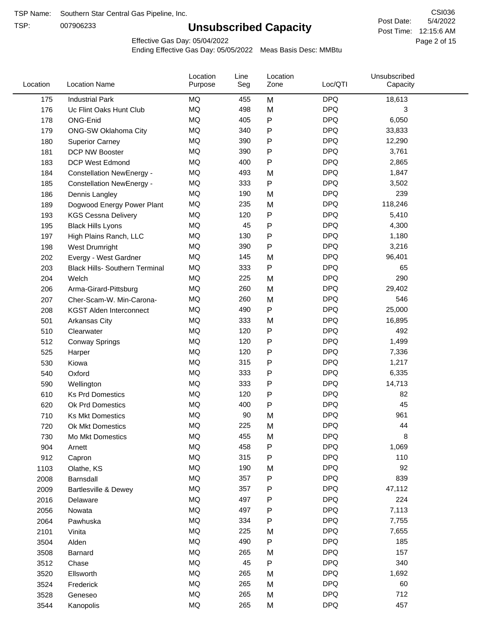TSP:

# **Unsubscribed Capacity**

5/4/2022 Page 2 of 15 Post Time: 12:15:6 AM CSI036 Post Date:

Effective Gas Day: 05/04/2022

| Location | <b>Location Name</b>                  | Location<br>Purpose | Line<br>Seg | Location<br>Zone | Loc/QTI    | Unsubscribed<br>Capacity |  |
|----------|---------------------------------------|---------------------|-------------|------------------|------------|--------------------------|--|
| 175      | <b>Industrial Park</b>                | MQ                  | 455         | M                | <b>DPQ</b> | 18,613                   |  |
| 176      | Uc Flint Oaks Hunt Club               | MQ                  | 498         | M                | <b>DPQ</b> | 3                        |  |
| 178      | ONG-Enid                              | MQ                  | 405         | P                | <b>DPQ</b> | 6,050                    |  |
| 179      | <b>ONG-SW Oklahoma City</b>           | <b>MQ</b>           | 340         | P                | <b>DPQ</b> | 33,833                   |  |
| 180      | <b>Superior Carney</b>                | <b>MQ</b>           | 390         | Ρ                | <b>DPQ</b> | 12,290                   |  |
| 181      | DCP NW Booster                        | <b>MQ</b>           | 390         | P                | <b>DPQ</b> | 3,761                    |  |
| 183      | <b>DCP West Edmond</b>                | <b>MQ</b>           | 400         | Ρ                | <b>DPQ</b> | 2,865                    |  |
| 184      | <b>Constellation NewEnergy -</b>      | MQ                  | 493         | M                | <b>DPQ</b> | 1,847                    |  |
| 185      | <b>Constellation NewEnergy -</b>      | MQ                  | 333         | P                | <b>DPQ</b> | 3,502                    |  |
| 186      | Dennis Langley                        | MQ                  | 190         | M                | <b>DPQ</b> | 239                      |  |
| 189      | Dogwood Energy Power Plant            | <b>MQ</b>           | 235         | M                | <b>DPQ</b> | 118,246                  |  |
| 193      | <b>KGS Cessna Delivery</b>            | MQ                  | 120         | P                | <b>DPQ</b> | 5,410                    |  |
| 195      | <b>Black Hills Lyons</b>              | <b>MQ</b>           | 45          | P                | <b>DPQ</b> | 4,300                    |  |
| 197      | High Plains Ranch, LLC                | <b>MQ</b>           | 130         | Ρ                | <b>DPQ</b> | 1,180                    |  |
| 198      | West Drumright                        | <b>MQ</b>           | 390         | P                | <b>DPQ</b> | 3,216                    |  |
| 202      | Evergy - West Gardner                 | <b>MQ</b>           | 145         | M                | <b>DPQ</b> | 96,401                   |  |
| 203      | <b>Black Hills- Southern Terminal</b> | MQ                  | 333         | P                | <b>DPQ</b> | 65                       |  |
| 204      | Welch                                 | MQ                  | 225         | M                | <b>DPQ</b> | 290                      |  |
| 206      | Arma-Girard-Pittsburg                 | <b>MQ</b>           | 260         | M                | <b>DPQ</b> | 29,402                   |  |
| 207      | Cher-Scam-W. Min-Carona-              | MQ                  | 260         | M                | <b>DPQ</b> | 546                      |  |
| 208      | <b>KGST Alden Interconnect</b>        | <b>MQ</b>           | 490         | P                | <b>DPQ</b> | 25,000                   |  |
| 501      | Arkansas City                         | <b>MQ</b>           | 333         | M                | <b>DPQ</b> | 16,895                   |  |
| 510      | Clearwater                            | <b>MQ</b>           | 120         | Ρ                | <b>DPQ</b> | 492                      |  |
| 512      | <b>Conway Springs</b>                 | <b>MQ</b>           | 120         | P                | <b>DPQ</b> | 1,499                    |  |
| 525      | Harper                                | <b>MQ</b>           | 120         | Ρ                | <b>DPQ</b> | 7,336                    |  |
| 530      | Kiowa                                 | <b>MQ</b>           | 315         | Ρ                | <b>DPQ</b> | 1,217                    |  |
| 540      | Oxford                                | <b>MQ</b>           | 333         | Ρ                | <b>DPQ</b> | 6,335                    |  |
| 590      | Wellington                            | <b>MQ</b>           | 333         | Ρ                | <b>DPQ</b> | 14,713                   |  |
| 610      | <b>Ks Prd Domestics</b>               | <b>MQ</b>           | 120         | P                | <b>DPQ</b> | 82                       |  |
| 620      | Ok Prd Domestics                      | <b>MQ</b>           | 400         | P                | <b>DPQ</b> | 45                       |  |
| 710      | <b>Ks Mkt Domestics</b>               | <b>MQ</b>           | 90          | M                | <b>DPQ</b> | 961                      |  |
| 720      | <b>Ok Mkt Domestics</b>               | MQ                  | 225         | Μ                | <b>DPQ</b> | 44                       |  |
| 730      | Mo Mkt Domestics                      | MQ                  | 455         | M                | <b>DPQ</b> | 8                        |  |
| 904      | Arnett                                | $\sf{MQ}$           | 458         | P                | <b>DPQ</b> | 1,069                    |  |
| 912      | Capron                                | <b>MQ</b>           | 315         | Ρ                | <b>DPQ</b> | 110                      |  |
| 1103     | Olathe, KS                            | $\sf{MQ}$           | 190         | M                | <b>DPQ</b> | 92                       |  |
| 2008     | Barnsdall                             | MQ                  | 357         | Ρ                | <b>DPQ</b> | 839                      |  |
| 2009     | <b>Bartlesville &amp; Dewey</b>       | MQ                  | 357         | Ρ                | <b>DPQ</b> | 47,112                   |  |
| 2016     | Delaware                              | MQ                  | 497         | Ρ                | <b>DPQ</b> | 224                      |  |
| 2056     | Nowata                                | $\sf{MQ}$           | 497         | Ρ                | <b>DPQ</b> | 7,113                    |  |
| 2064     | Pawhuska                              | $\sf{MQ}$           | 334         | Ρ                | <b>DPQ</b> | 7,755                    |  |
| 2101     | Vinita                                | MQ                  | 225         | M                | <b>DPQ</b> | 7,655                    |  |
| 3504     | Alden                                 | MQ                  | 490         | P                | <b>DPQ</b> | 185                      |  |
| 3508     | Barnard                               | $\sf{MQ}$           | 265         | M                | <b>DPQ</b> | 157                      |  |
| 3512     | Chase                                 | <b>MQ</b>           | 45          | P                | <b>DPQ</b> | 340                      |  |
| 3520     | Ellsworth                             | MQ                  | 265         | M                | <b>DPQ</b> | 1,692                    |  |
| 3524     | Frederick                             | MQ                  | 265         | M                | <b>DPQ</b> | 60                       |  |
| 3528     | Geneseo                               | MQ                  | 265         | M                | <b>DPQ</b> | 712                      |  |
| 3544     | Kanopolis                             | $\sf{MQ}$           | 265         | M                | <b>DPQ</b> | 457                      |  |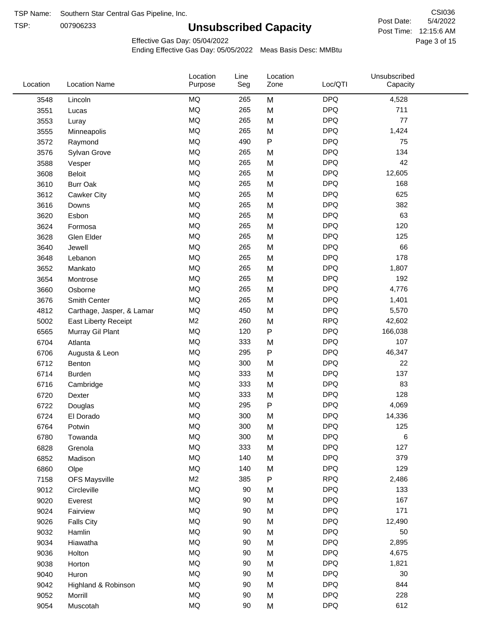TSP: 

# **Unsubscribed Capacity**

5/4/2022 Page 3 of 15 Post Time: 12:15:6 AM CSI036 Post Date:

Effective Gas Day: 05/04/2022

| Location | <b>Location Name</b>      | Location<br>Purpose | Line<br>Seg | Location<br>Zone | Loc/QTI    | Unsubscribed<br>Capacity |  |
|----------|---------------------------|---------------------|-------------|------------------|------------|--------------------------|--|
| 3548     | Lincoln                   | <b>MQ</b>           | 265         | M                | <b>DPQ</b> | 4,528                    |  |
| 3551     | Lucas                     | <b>MQ</b>           | 265         | M                | <b>DPQ</b> | 711                      |  |
| 3553     | Luray                     | <b>MQ</b>           | 265         | M                | <b>DPQ</b> | 77                       |  |
| 3555     | Minneapolis               | <b>MQ</b>           | 265         | M                | <b>DPQ</b> | 1,424                    |  |
| 3572     | Raymond                   | <b>MQ</b>           | 490         | P                | <b>DPQ</b> | 75                       |  |
| 3576     | Sylvan Grove              | <b>MQ</b>           | 265         | M                | <b>DPQ</b> | 134                      |  |
| 3588     | Vesper                    | <b>MQ</b>           | 265         | M                | <b>DPQ</b> | 42                       |  |
| 3608     | Beloit                    | <b>MQ</b>           | 265         | M                | <b>DPQ</b> | 12,605                   |  |
| 3610     | <b>Burr Oak</b>           | <b>MQ</b>           | 265         | M                | <b>DPQ</b> | 168                      |  |
| 3612     | Cawker City               | <b>MQ</b>           | 265         | M                | <b>DPQ</b> | 625                      |  |
| 3616     | Downs                     | <b>MQ</b>           | 265         | M                | <b>DPQ</b> | 382                      |  |
| 3620     | Esbon                     | <b>MQ</b>           | 265         | M                | <b>DPQ</b> | 63                       |  |
| 3624     | Formosa                   | <b>MQ</b>           | 265         | M                | <b>DPQ</b> | 120                      |  |
| 3628     | Glen Elder                | <b>MQ</b>           | 265         | M                | <b>DPQ</b> | 125                      |  |
| 3640     | Jewell                    | <b>MQ</b>           | 265         | M                | <b>DPQ</b> | 66                       |  |
| 3648     | Lebanon                   | <b>MQ</b>           | 265         | M                | <b>DPQ</b> | 178                      |  |
| 3652     | Mankato                   | <b>MQ</b>           | 265         | M                | <b>DPQ</b> | 1,807                    |  |
| 3654     | Montrose                  | <b>MQ</b>           | 265         | M                | <b>DPQ</b> | 192                      |  |
| 3660     | Osborne                   | <b>MQ</b>           | 265         | M                | <b>DPQ</b> | 4,776                    |  |
| 3676     | Smith Center              | <b>MQ</b>           | 265         | M                | <b>DPQ</b> | 1,401                    |  |
| 4812     | Carthage, Jasper, & Lamar | <b>MQ</b>           | 450         | M                | <b>DPQ</b> | 5,570                    |  |
| 5002     | East Liberty Receipt      | M <sub>2</sub>      | 260         | M                | <b>RPQ</b> | 42,602                   |  |
| 6565     | Murray Gil Plant          | <b>MQ</b>           | 120         | $\mathsf{P}$     | <b>DPQ</b> | 166,038                  |  |
| 6704     | Atlanta                   | <b>MQ</b>           | 333         | M                | <b>DPQ</b> | 107                      |  |
| 6706     | Augusta & Leon            | <b>MQ</b>           | 295         | P                | <b>DPQ</b> | 46,347                   |  |
| 6712     | Benton                    | <b>MQ</b>           | 300         | M                | <b>DPQ</b> | 22                       |  |
| 6714     | Burden                    | <b>MQ</b>           | 333         | M                | <b>DPQ</b> | 137                      |  |
| 6716     | Cambridge                 | <b>MQ</b>           | 333         | M                | <b>DPQ</b> | 83                       |  |
| 6720     | Dexter                    | <b>MQ</b>           | 333         | M                | <b>DPQ</b> | 128                      |  |
| 6722     | Douglas                   | <b>MQ</b>           | 295         | P                | <b>DPQ</b> | 4,069                    |  |
| 6724     | El Dorado                 | <b>MQ</b>           | 300         | M                | <b>DPQ</b> | 14,336                   |  |
| 6764     | Potwin                    | <b>MQ</b>           | 300         | M                | <b>DPQ</b> | 125                      |  |
| 6780     | Towanda                   | MQ                  | 300         | M                | <b>DPQ</b> | 6                        |  |
| 6828     | Grenola                   | MQ                  | 333         | M                | <b>DPQ</b> | 127                      |  |
| 6852     | Madison                   | <b>MQ</b>           | 140         | M                | <b>DPQ</b> | 379                      |  |
| 6860     | Olpe                      | <b>MQ</b>           | 140         | M                | <b>DPQ</b> | 129                      |  |
| 7158     | <b>OFS Maysville</b>      | M <sub>2</sub>      | 385         | P                | <b>RPQ</b> | 2,486                    |  |
| 9012     | Circleville               | <b>MQ</b>           | 90          | M                | <b>DPQ</b> | 133                      |  |
| 9020     | Everest                   | $\sf{MQ}$           | 90          | M                | <b>DPQ</b> | 167                      |  |
| 9024     | Fairview                  | <b>MQ</b>           | 90          | M                | <b>DPQ</b> | 171                      |  |
| 9026     | <b>Falls City</b>         | MQ                  | 90          | M                | <b>DPQ</b> | 12,490                   |  |
| 9032     | Hamlin                    | MQ                  | 90          | M                | <b>DPQ</b> | 50                       |  |
| 9034     | Hiawatha                  | MQ                  | 90          | M                | <b>DPQ</b> | 2,895                    |  |
| 9036     | Holton                    | <b>MQ</b>           | 90          | M                | <b>DPQ</b> | 4,675                    |  |
| 9038     | Horton                    | <b>MQ</b>           | 90          | M                | <b>DPQ</b> | 1,821                    |  |
| 9040     | Huron                     | <b>MQ</b>           | 90          | M                | <b>DPQ</b> | 30                       |  |
| 9042     | Highland & Robinson       | MQ                  | 90          | M                | <b>DPQ</b> | 844                      |  |
| 9052     | Morrill                   | $\sf{MQ}$           | 90          | M                | <b>DPQ</b> | 228                      |  |
| 9054     | Muscotah                  | <b>MQ</b>           | 90          | M                | <b>DPQ</b> | 612                      |  |
|          |                           |                     |             |                  |            |                          |  |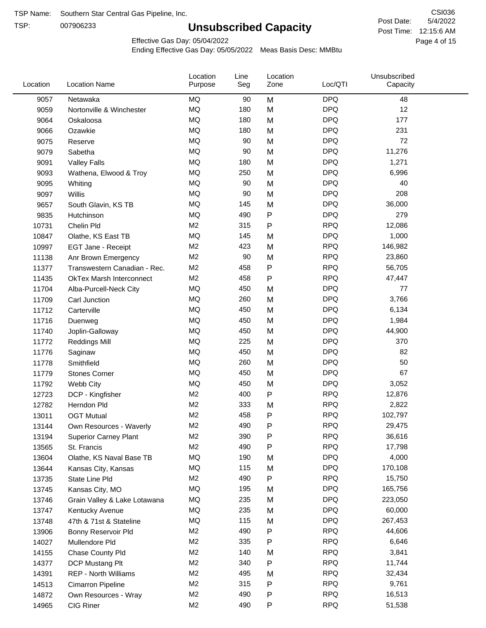TSP:

# **Unsubscribed Capacity**

5/4/2022 Page 4 of 15 Post Time: 12:15:6 AM CSI036 Post Date:

Effective Gas Day: 05/04/2022

| Location | <b>Location Name</b>            | Location<br>Purpose | Line<br>Seg | Location<br>Zone | Loc/QTI    | Unsubscribed<br>Capacity |  |
|----------|---------------------------------|---------------------|-------------|------------------|------------|--------------------------|--|
| 9057     | Netawaka                        | <b>MQ</b>           | 90          | M                | <b>DPQ</b> | 48                       |  |
| 9059     | Nortonville & Winchester        | MQ                  | 180         | M                | <b>DPQ</b> | 12                       |  |
| 9064     | Oskaloosa                       | MQ                  | 180         | M                | <b>DPQ</b> | 177                      |  |
| 9066     | Ozawkie                         | MQ                  | 180         | M                | <b>DPQ</b> | 231                      |  |
| 9075     | Reserve                         | <b>MQ</b>           | 90          | M                | <b>DPQ</b> | 72                       |  |
| 9079     | Sabetha                         | <b>MQ</b>           | 90          | M                | <b>DPQ</b> | 11,276                   |  |
| 9091     | <b>Valley Falls</b>             | <b>MQ</b>           | 180         | M                | <b>DPQ</b> | 1,271                    |  |
| 9093     | Wathena, Elwood & Troy          | <b>MQ</b>           | 250         | M                | <b>DPQ</b> | 6,996                    |  |
| 9095     | Whiting                         | MQ                  | 90          | M                | <b>DPQ</b> | 40                       |  |
| 9097     | Willis                          | <b>MQ</b>           | 90          | M                | <b>DPQ</b> | 208                      |  |
| 9657     | South Glavin, KS TB             | MQ                  | 145         | M                | <b>DPQ</b> | 36,000                   |  |
| 9835     | Hutchinson                      | MQ                  | 490         | P                | <b>DPQ</b> | 279                      |  |
| 10731    | Chelin Pld                      | M <sub>2</sub>      | 315         | P                | <b>RPQ</b> | 12,086                   |  |
| 10847    | Olathe, KS East TB              | <b>MQ</b>           | 145         | M                | <b>DPQ</b> | 1,000                    |  |
| 10997    | EGT Jane - Receipt              | M <sub>2</sub>      | 423         | M                | <b>RPQ</b> | 146,982                  |  |
| 11138    | Anr Brown Emergency             | M <sub>2</sub>      | 90          | M                | <b>RPQ</b> | 23,860                   |  |
| 11377    | Transwestern Canadian - Rec.    | M <sub>2</sub>      | 458         | P                | <b>RPQ</b> | 56,705                   |  |
| 11435    | <b>OkTex Marsh Interconnect</b> | M <sub>2</sub>      | 458         | P                | <b>RPQ</b> | 47,447                   |  |
| 11704    | Alba-Purcell-Neck City          | MQ                  | 450         | M                | <b>DPQ</b> | 77                       |  |
| 11709    | Carl Junction                   | <b>MQ</b>           | 260         | M                | <b>DPQ</b> | 3,766                    |  |
| 11712    | Carterville                     | MQ                  | 450         | M                | <b>DPQ</b> | 6,134                    |  |
| 11716    | Duenweg                         | <b>MQ</b>           | 450         | M                | <b>DPQ</b> | 1,984                    |  |
| 11740    | Joplin-Galloway                 | MQ                  | 450         | M                | <b>DPQ</b> | 44,900                   |  |
| 11772    | <b>Reddings Mill</b>            | <b>MQ</b>           | 225         | M                | <b>DPQ</b> | 370                      |  |
| 11776    | Saginaw                         | <b>MQ</b>           | 450         | M                | <b>DPQ</b> | 82                       |  |
| 11778    | Smithfield                      | MQ                  | 260         | M                | <b>DPQ</b> | 50                       |  |
| 11779    | <b>Stones Corner</b>            | <b>MQ</b>           | 450         | M                | <b>DPQ</b> | 67                       |  |
| 11792    | Webb City                       | <b>MQ</b>           | 450         | M                | <b>DPQ</b> | 3,052                    |  |
| 12723    | DCP - Kingfisher                | M <sub>2</sub>      | 400         | P                | <b>RPQ</b> | 12,876                   |  |
| 12782    | Herndon Pld                     | M <sub>2</sub>      | 333         | M                | <b>RPQ</b> | 2,822                    |  |
| 13011    | <b>OGT Mutual</b>               | M <sub>2</sub>      | 458         | P                | <b>RPQ</b> | 102,797                  |  |
| 13144    | Own Resources - Waverly         | M <sub>2</sub>      | 490         | P                | <b>RPQ</b> | 29,475                   |  |
| 13194    | <b>Superior Carney Plant</b>    | M <sub>2</sub>      | 390         | P                | <b>RPQ</b> | 36,616                   |  |
| 13565    | St. Francis                     | M <sub>2</sub>      | 490         | P                | <b>RPQ</b> | 17,798                   |  |
| 13604    | Olathe, KS Naval Base TB        | MQ                  | 190         | M                | <b>DPQ</b> | 4,000                    |  |
| 13644    | Kansas City, Kansas             | MQ                  | 115         | M                | <b>DPQ</b> | 170,108                  |  |
| 13735    | State Line Pld                  | M <sub>2</sub>      | 490         | Ρ                | <b>RPQ</b> | 15,750                   |  |
| 13745    | Kansas City, MO                 | MQ                  | 195         | M                | <b>DPQ</b> | 165,756                  |  |
| 13746    | Grain Valley & Lake Lotawana    | MQ                  | 235         | M                | <b>DPQ</b> | 223,050                  |  |
| 13747    | Kentucky Avenue                 | MQ                  | 235         | M                | <b>DPQ</b> | 60,000                   |  |
| 13748    | 47th & 71st & Stateline         | MQ                  | 115         | M                | <b>DPQ</b> | 267,453                  |  |
| 13906    | Bonny Reservoir Pld             | M <sub>2</sub>      | 490         | Ρ                | <b>RPQ</b> | 44,606                   |  |
| 14027    | Mullendore Pld                  | M <sub>2</sub>      | 335         | P                | <b>RPQ</b> | 6,646                    |  |
| 14155    | Chase County Pld                | M <sub>2</sub>      | 140         | M                | <b>RPQ</b> | 3,841                    |  |
| 14377    | DCP Mustang Plt                 | M <sub>2</sub>      | 340         | Ρ                | <b>RPQ</b> | 11,744                   |  |
| 14391    | <b>REP - North Williams</b>     | M <sub>2</sub>      | 495         | M                | <b>RPQ</b> | 32,434                   |  |
| 14513    | Cimarron Pipeline               | M <sub>2</sub>      | 315         | P                | <b>RPQ</b> | 9,761                    |  |
| 14872    | Own Resources - Wray            | M <sub>2</sub>      | 490         | P                | <b>RPQ</b> | 16,513                   |  |
| 14965    | CIG Riner                       | M <sub>2</sub>      | 490         | P                | <b>RPQ</b> | 51,538                   |  |
|          |                                 |                     |             |                  |            |                          |  |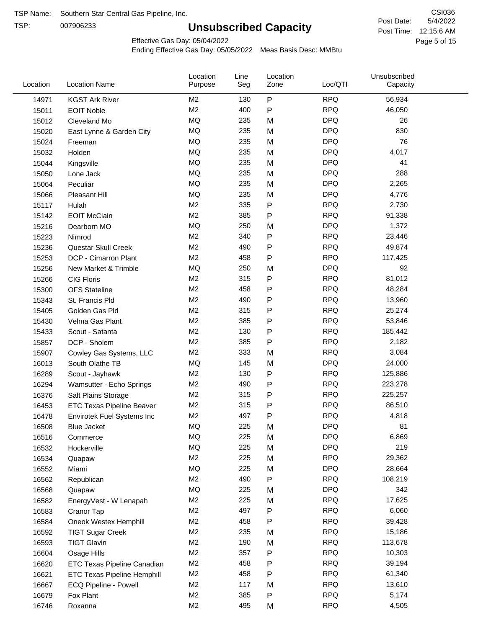TSP:

# **Unsubscribed Capacity**

5/4/2022 Page 5 of 15 Post Time: 12:15:6 AM CSI036 Post Date:

Effective Gas Day: 05/04/2022

| Location | <b>Location Name</b>               | Location<br>Purpose | Line<br>Seg | Location<br>Zone | Loc/QTI    | Unsubscribed<br>Capacity |  |
|----------|------------------------------------|---------------------|-------------|------------------|------------|--------------------------|--|
| 14971    | <b>KGST Ark River</b>              | M <sub>2</sub>      | 130         | $\mathsf{P}$     | <b>RPQ</b> | 56,934                   |  |
| 15011    | <b>EOIT Noble</b>                  | M <sub>2</sub>      | 400         | P                | <b>RPQ</b> | 46,050                   |  |
| 15012    | Cleveland Mo                       | <b>MQ</b>           | 235         | M                | <b>DPQ</b> | 26                       |  |
| 15020    | East Lynne & Garden City           | MQ                  | 235         | M                | <b>DPQ</b> | 830                      |  |
| 15024    | Freeman                            | <b>MQ</b>           | 235         | M                | <b>DPQ</b> | 76                       |  |
| 15032    | Holden                             | <b>MQ</b>           | 235         | M                | <b>DPQ</b> | 4,017                    |  |
| 15044    | Kingsville                         | MQ                  | 235         | M                | <b>DPQ</b> | 41                       |  |
| 15050    | Lone Jack                          | MQ                  | 235         | M                | <b>DPQ</b> | 288                      |  |
| 15064    | Peculiar                           | <b>MQ</b>           | 235         | M                | <b>DPQ</b> | 2,265                    |  |
| 15066    | Pleasant Hill                      | MQ                  | 235         | M                | <b>DPQ</b> | 4,776                    |  |
| 15117    | Hulah                              | M <sub>2</sub>      | 335         | P                | <b>RPQ</b> | 2,730                    |  |
| 15142    | <b>EOIT McClain</b>                | M <sub>2</sub>      | 385         | P                | <b>RPQ</b> | 91,338                   |  |
| 15216    | Dearborn MO                        | <b>MQ</b>           | 250         | M                | <b>DPQ</b> | 1,372                    |  |
| 15223    | Nimrod                             | M <sub>2</sub>      | 340         | P                | <b>RPQ</b> | 23,446                   |  |
| 15236    | Questar Skull Creek                | M <sub>2</sub>      | 490         | P                | <b>RPQ</b> | 49,874                   |  |
| 15253    | DCP - Cimarron Plant               | M <sub>2</sub>      | 458         | Ρ                | <b>RPQ</b> | 117,425                  |  |
| 15256    | New Market & Trimble               | <b>MQ</b>           | 250         | M                | <b>DPQ</b> | 92                       |  |
| 15266    | <b>CIG Floris</b>                  | M <sub>2</sub>      | 315         | Ρ                | <b>RPQ</b> | 81,012                   |  |
| 15300    | <b>OFS Stateline</b>               | M <sub>2</sub>      | 458         | Ρ                | <b>RPQ</b> | 48,284                   |  |
| 15343    | St. Francis Pld                    | M <sub>2</sub>      | 490         | Ρ                | <b>RPQ</b> | 13,960                   |  |
| 15405    | Golden Gas Pld                     | M <sub>2</sub>      | 315         | P                | <b>RPQ</b> | 25,274                   |  |
| 15430    | Velma Gas Plant                    | M <sub>2</sub>      | 385         | Ρ                | <b>RPQ</b> | 53,846                   |  |
| 15433    | Scout - Satanta                    | M <sub>2</sub>      | 130         | Ρ                | <b>RPQ</b> | 185,442                  |  |
| 15857    | DCP - Sholem                       | M <sub>2</sub>      | 385         | P                | <b>RPQ</b> | 2,182                    |  |
| 15907    | Cowley Gas Systems, LLC            | M <sub>2</sub>      | 333         | M                | <b>RPQ</b> | 3,084                    |  |
| 16013    | South Olathe TB                    | MQ                  | 145         | M                | <b>DPQ</b> | 24,000                   |  |
| 16289    | Scout - Jayhawk                    | M <sub>2</sub>      | 130         | Ρ                | <b>RPQ</b> | 125,886                  |  |
| 16294    | Wamsutter - Echo Springs           | M <sub>2</sub>      | 490         | P                | <b>RPQ</b> | 223,278                  |  |
| 16376    | Salt Plains Storage                | M <sub>2</sub>      | 315         | Ρ                | <b>RPQ</b> | 225,257                  |  |
| 16453    | ETC Texas Pipeline Beaver          | M <sub>2</sub>      | 315         | P                | <b>RPQ</b> | 86,510                   |  |
| 16478    | Envirotek Fuel Systems Inc         | M <sub>2</sub>      | 497         | Ρ                | <b>RPQ</b> | 4,818                    |  |
| 16508    | <b>Blue Jacket</b>                 | <b>MQ</b>           | 225         | Μ                | <b>DPQ</b> | 81                       |  |
| 16516    | Commerce                           | MQ                  | 225         | M                | <b>DPQ</b> | 6,869                    |  |
| 16532    | Hockerville                        | $\sf{MQ}$           | 225         | M                | <b>DPQ</b> | 219                      |  |
| 16534    | Quapaw                             | M <sub>2</sub>      | 225         | M                | <b>RPQ</b> | 29,362                   |  |
| 16552    | Miami                              | MQ                  | 225         | M                | <b>DPQ</b> | 28,664                   |  |
| 16562    | Republican                         | M <sub>2</sub>      | 490         | P                | <b>RPQ</b> | 108,219                  |  |
| 16568    | Quapaw                             | <b>MQ</b>           | 225         | M                | <b>DPQ</b> | 342                      |  |
| 16582    | EnergyVest - W Lenapah             | M <sub>2</sub>      | 225         | M                | <b>RPQ</b> | 17,625                   |  |
| 16583    | Cranor Tap                         | M <sub>2</sub>      | 497         | Ρ                | <b>RPQ</b> | 6,060                    |  |
| 16584    | Oneok Westex Hemphill              | M <sub>2</sub>      | 458         | Ρ                | <b>RPQ</b> | 39,428                   |  |
| 16592    | <b>TIGT Sugar Creek</b>            | M <sub>2</sub>      | 235         | M                | <b>RPQ</b> | 15,186                   |  |
| 16593    | <b>TIGT Glavin</b>                 | M <sub>2</sub>      | 190         | M                | <b>RPQ</b> | 113,678                  |  |
| 16604    | Osage Hills                        | M <sub>2</sub>      | 357         | Ρ                | <b>RPQ</b> | 10,303                   |  |
| 16620    | ETC Texas Pipeline Canadian        | M <sub>2</sub>      | 458         | Ρ                | <b>RPQ</b> | 39,194                   |  |
| 16621    | <b>ETC Texas Pipeline Hemphill</b> | M <sub>2</sub>      | 458         | Ρ                | <b>RPQ</b> | 61,340                   |  |
| 16667    | ECQ Pipeline - Powell              | M <sub>2</sub>      | 117         | M                | <b>RPQ</b> | 13,610                   |  |
| 16679    | Fox Plant                          | M <sub>2</sub>      | 385         | Ρ                | <b>RPQ</b> | 5,174                    |  |
| 16746    | Roxanna                            | M2                  | 495         | M                | <b>RPQ</b> | 4,505                    |  |
|          |                                    |                     |             |                  |            |                          |  |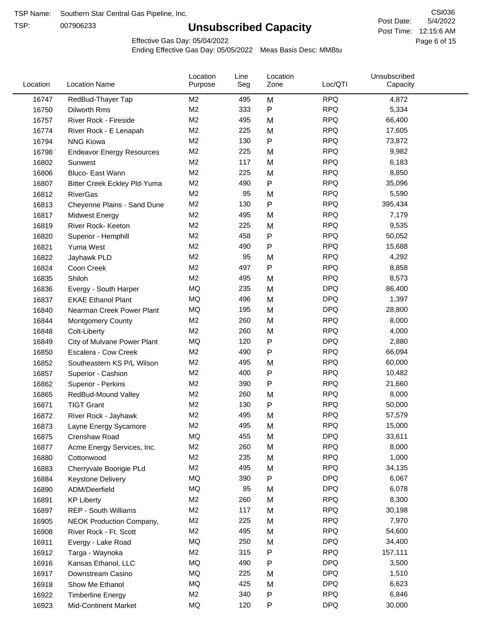TSP:

# **Unsubscribed Capacity**

5/4/2022 Page 6 of 15 Post Time: 12:15:6 AM CSI036 Post Date:

Effective Gas Day: 05/04/2022

| Location | <b>Location Name</b>             | Location<br>Purpose | Line<br>Seg | Location<br>Zone | Loc/QTI    | Unsubscribed<br>Capacity |  |
|----------|----------------------------------|---------------------|-------------|------------------|------------|--------------------------|--|
| 16747    | RedBud-Thayer Tap                | M <sub>2</sub>      | 495         | M                | <b>RPQ</b> | 4,872                    |  |
| 16750    | Dilworth Rms                     | M <sub>2</sub>      | 333         | P                | <b>RPQ</b> | 5,334                    |  |
| 16757    | River Rock - Fireside            | M <sub>2</sub>      | 495         | M                | <b>RPQ</b> | 66,400                   |  |
| 16774    | River Rock - E Lenapah           | M <sub>2</sub>      | 225         | M                | <b>RPQ</b> | 17,605                   |  |
| 16794    | <b>NNG Kiowa</b>                 | M <sub>2</sub>      | 130         | P                | <b>RPQ</b> | 73,872                   |  |
| 16798    | <b>Endeavor Energy Resources</b> | M <sub>2</sub>      | 225         | M                | <b>RPQ</b> | 9,982                    |  |
| 16802    | Sunwest                          | M <sub>2</sub>      | 117         | M                | <b>RPQ</b> | 6,183                    |  |
| 16806    | Bluco- East Wann                 | M <sub>2</sub>      | 225         | M                | <b>RPQ</b> | 8,850                    |  |
| 16807    | Bitter Creek Eckley Pld-Yuma     | M <sub>2</sub>      | 490         | P                | <b>RPQ</b> | 35,096                   |  |
| 16812    | <b>RiverGas</b>                  | M <sub>2</sub>      | 95          | M                | <b>RPQ</b> | 5,590                    |  |
| 16813    | Cheyenne Plains - Sand Dune      | M <sub>2</sub>      | 130         | P                | <b>RPQ</b> | 395,434                  |  |
| 16817    | Midwest Energy                   | M <sub>2</sub>      | 495         | M                | <b>RPQ</b> | 7,179                    |  |
| 16819    | River Rock- Keeton               | M <sub>2</sub>      | 225         | M                | <b>RPQ</b> | 9,535                    |  |
| 16820    | Superior - Hemphill              | M <sub>2</sub>      | 458         | Ρ                | <b>RPQ</b> | 50,052                   |  |
| 16821    | Yuma West                        | M <sub>2</sub>      | 490         | Ρ                | <b>RPQ</b> | 15,688                   |  |
| 16822    | Jayhawk PLD                      | M <sub>2</sub>      | 95          | M                | <b>RPQ</b> | 4,292                    |  |
| 16824    | Coon Creek                       | M <sub>2</sub>      | 497         | Ρ                | <b>RPQ</b> | 8,858                    |  |
| 16835    | Shiloh                           | M2                  | 495         | M                | <b>RPQ</b> | 8,573                    |  |
| 16836    | Evergy - South Harper            | MQ                  | 235         | M                | <b>DPQ</b> | 86,400                   |  |
| 16837    | <b>EKAE Ethanol Plant</b>        | MQ                  | 496         | M                | <b>DPQ</b> | 1,397                    |  |
| 16840    | Nearman Creek Power Plant        | MQ                  | 195         | M                | <b>DPQ</b> | 28,800                   |  |
| 16844    | <b>Montgomery County</b>         | M <sub>2</sub>      | 260         | M                | <b>RPQ</b> | 8,000                    |  |
| 16848    | Colt-Liberty                     | M <sub>2</sub>      | 260         | M                | <b>RPQ</b> | 4,000                    |  |
| 16849    | City of Mulvane Power Plant      | MQ                  | 120         | P                | <b>DPQ</b> | 2,880                    |  |
| 16850    | Escalera - Cow Creek             | M <sub>2</sub>      | 490         | Ρ                | <b>RPQ</b> | 66,094                   |  |
| 16852    | Southeastern KS P/L Wilson       | M <sub>2</sub>      | 495         | M                | <b>RPQ</b> | 60,000                   |  |
| 16857    | Superior - Cashion               | M <sub>2</sub>      | 400         | Ρ                | <b>RPQ</b> | 10,482                   |  |
| 16862    | Superior - Perkins               | M <sub>2</sub>      | 390         | Ρ                | <b>RPQ</b> | 21,660                   |  |
| 16865    | RedBud-Mound Valley              | M <sub>2</sub>      | 260         | M                | <b>RPQ</b> | 8,000                    |  |
| 16871    | <b>TIGT Grant</b>                | M <sub>2</sub>      | 130         | Ρ                | <b>RPQ</b> | 50,000                   |  |
| 16872    | River Rock - Jayhawk             | M <sub>2</sub>      | 495         | M                | <b>RPQ</b> | 57,579                   |  |
| 16873    | Layne Energy Sycamore            | M <sub>2</sub>      | 495         | M                | <b>RPQ</b> | 15,000                   |  |
| 16875    | Crenshaw Road                    | MQ                  | 455         | M                | <b>DPQ</b> | 33,611                   |  |
| 16877    | Acme Energy Services, Inc.       | M <sub>2</sub>      | 260         | M                | <b>RPQ</b> | 8,000                    |  |
| 16880    | Cottonwood                       | M <sub>2</sub>      | 235         | M                | <b>RPQ</b> | 1,000                    |  |
| 16883    | Cherryvale Boorigie PLd          | M <sub>2</sub>      | 495         | M                | <b>RPQ</b> | 34,135                   |  |
| 16884    | Keystone Delivery                | MQ                  | 390         | Ρ                | <b>DPQ</b> | 6,067                    |  |
| 16890    | ADM/Deerfield                    | MQ                  | 95          | M                | <b>DPQ</b> | 6,078                    |  |
| 16891    | <b>KP Liberty</b>                | M2                  | 260         | M                | <b>RPQ</b> | 8,300                    |  |
| 16897    | <b>REP - South Williams</b>      | M <sub>2</sub>      | 117         | M                | <b>RPQ</b> | 30,198                   |  |
| 16905    | NEOK Production Company,         | M <sub>2</sub>      | 225         | M                | <b>RPQ</b> | 7,970                    |  |
| 16908    | River Rock - Ft. Scott           | M2                  | 495         | M                | <b>RPQ</b> | 54,600                   |  |
| 16911    | Evergy - Lake Road               | MQ                  | 250         | M                | <b>DPQ</b> | 34,400                   |  |
| 16912    | Targa - Waynoka                  | M <sub>2</sub>      | 315         | Ρ                | <b>RPQ</b> | 157,111                  |  |
| 16916    | Kansas Ethanol, LLC              | MQ                  | 490         | Ρ                | <b>DPQ</b> | 3,500                    |  |
| 16917    | Downstream Casino                | MQ                  | 225         | M                | <b>DPQ</b> | 1,510                    |  |
| 16918    | Show Me Ethanol                  | MQ                  | 425         | M                | <b>DPQ</b> | 6,623                    |  |
| 16922    | <b>Timberline Energy</b>         | M <sub>2</sub>      | 340         | Ρ                | <b>RPQ</b> | 6,846                    |  |
| 16923    | Mid-Continent Market             | MQ                  | 120         | P                | <b>DPQ</b> | 30,000                   |  |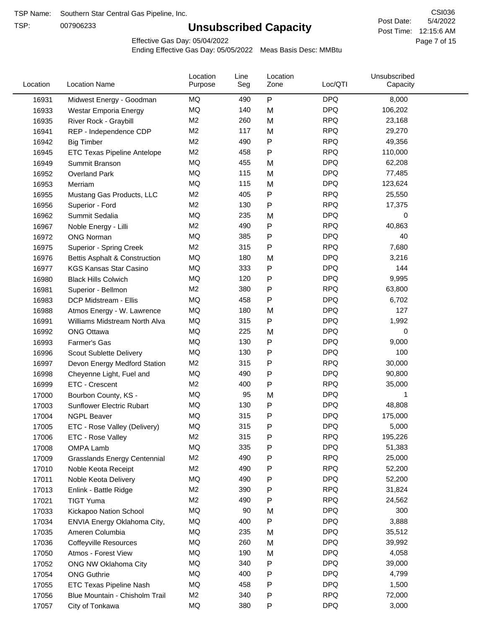TSP:

# **Unsubscribed Capacity**

5/4/2022 Page 7 of 15 Post Time: 12:15:6 AM CSI036 Post Date:

Effective Gas Day: 05/04/2022

| Location | <b>Location Name</b>                     | Location<br>Purpose | Line<br>Seg | Location<br>Zone | Loc/QTI    | Unsubscribed<br>Capacity |  |
|----------|------------------------------------------|---------------------|-------------|------------------|------------|--------------------------|--|
| 16931    | Midwest Energy - Goodman                 | MQ                  | 490         | P                | <b>DPQ</b> | 8,000                    |  |
| 16933    | Westar Emporia Energy                    | MQ                  | 140         | M                | <b>DPQ</b> | 106,202                  |  |
| 16935    | River Rock - Graybill                    | M <sub>2</sub>      | 260         | M                | <b>RPQ</b> | 23,168                   |  |
| 16941    | REP - Independence CDP                   | M <sub>2</sub>      | 117         | M                | <b>RPQ</b> | 29,270                   |  |
| 16942    | <b>Big Timber</b>                        | M <sub>2</sub>      | 490         | P                | <b>RPQ</b> | 49,356                   |  |
| 16945    | <b>ETC Texas Pipeline Antelope</b>       | M <sub>2</sub>      | 458         | Ρ                | <b>RPQ</b> | 110,000                  |  |
| 16949    | Summit Branson                           | MQ                  | 455         | M                | <b>DPQ</b> | 62,208                   |  |
| 16952    | <b>Overland Park</b>                     | MQ                  | 115         | M                | <b>DPQ</b> | 77,485                   |  |
| 16953    | Merriam                                  | MQ                  | 115         | M                | <b>DPQ</b> | 123,624                  |  |
| 16955    | Mustang Gas Products, LLC                | M <sub>2</sub>      | 405         | Ρ                | <b>RPQ</b> | 25,550                   |  |
| 16956    | Superior - Ford                          | M <sub>2</sub>      | 130         | Ρ                | <b>RPQ</b> | 17,375                   |  |
| 16962    | Summit Sedalia                           | MQ                  | 235         | M                | <b>DPQ</b> | 0                        |  |
| 16967    | Noble Energy - Lilli                     | M <sub>2</sub>      | 490         | Ρ                | <b>RPQ</b> | 40,863                   |  |
| 16972    | <b>ONG Norman</b>                        | <b>MQ</b>           | 385         | Ρ                | <b>DPQ</b> | 40                       |  |
| 16975    | Superior - Spring Creek                  | M <sub>2</sub>      | 315         | Ρ                | <b>RPQ</b> | 7,680                    |  |
| 16976    | <b>Bettis Asphalt &amp; Construction</b> | MQ                  | 180         | M                | <b>DPQ</b> | 3,216                    |  |
| 16977    | <b>KGS Kansas Star Casino</b>            | MQ                  | 333         | Ρ                | <b>DPQ</b> | 144                      |  |
| 16980    | <b>Black Hills Colwich</b>               | MQ                  | 120         | Ρ                | <b>DPQ</b> | 9,995                    |  |
| 16981    | Superior - Bellmon                       | M <sub>2</sub>      | 380         | Ρ                | <b>RPQ</b> | 63,800                   |  |
| 16983    | DCP Midstream - Ellis                    | MQ                  | 458         | Ρ                | <b>DPQ</b> | 6,702                    |  |
| 16988    | Atmos Energy - W. Lawrence               | MQ                  | 180         | M                | <b>DPQ</b> | 127                      |  |
| 16991    | Williams Midstream North Alva            | MQ                  | 315         | P                | <b>DPQ</b> | 1,992                    |  |
| 16992    | <b>ONG Ottawa</b>                        | MQ                  | 225         | M                | <b>DPQ</b> | 0                        |  |
| 16993    | Farmer's Gas                             | MQ                  | 130         | Ρ                | <b>DPQ</b> | 9,000                    |  |
| 16996    | Scout Sublette Delivery                  | MQ                  | 130         | Ρ                | <b>DPQ</b> | 100                      |  |
| 16997    | Devon Energy Medford Station             | M <sub>2</sub>      | 315         | Ρ                | <b>RPQ</b> | 30,000                   |  |
| 16998    | Cheyenne Light, Fuel and                 | MQ                  | 490         | Ρ                | <b>DPQ</b> | 90,800                   |  |
| 16999    | ETC - Crescent                           | M <sub>2</sub>      | 400         | Ρ                | <b>RPQ</b> | 35,000                   |  |
| 17000    | Bourbon County, KS -                     | MQ                  | 95          | M                | <b>DPQ</b> | 1                        |  |
| 17003    | Sunflower Electric Rubart                | MQ                  | 130         | Ρ                | <b>DPQ</b> | 48,808                   |  |
| 17004    | <b>NGPL Beaver</b>                       | MQ                  | 315         | Ρ                | <b>DPQ</b> | 175,000                  |  |
| 17005    | ETC - Rose Valley (Delivery)             | MQ                  | 315         | Þ                | <b>DPQ</b> | 5,000                    |  |
| 17006    | ETC - Rose Valley                        | M2                  | 315         | Ρ                | <b>RPQ</b> | 195,226                  |  |
| 17008    | OMPA Lamb                                | MQ                  | 335         | Ρ                | <b>DPQ</b> | 51,383                   |  |
| 17009    | <b>Grasslands Energy Centennial</b>      | M <sub>2</sub>      | 490         | Ρ                | <b>RPQ</b> | 25,000                   |  |
| 17010    | Noble Keota Receipt                      | M <sub>2</sub>      | 490         | Ρ                | <b>RPQ</b> | 52,200                   |  |
| 17011    | Noble Keota Delivery                     | MQ                  | 490         | Ρ                | <b>DPQ</b> | 52,200                   |  |
| 17013    | Enlink - Battle Ridge                    | M <sub>2</sub>      | 390         | Ρ                | <b>RPQ</b> | 31,824                   |  |
| 17021    | <b>TIGT Yuma</b>                         | M <sub>2</sub>      | 490         | P                | <b>RPQ</b> | 24,562                   |  |
| 17033    | Kickapoo Nation School                   | MQ                  | 90          | M                | <b>DPQ</b> | 300                      |  |
| 17034    | ENVIA Energy Oklahoma City,              | MQ                  | 400         | P                | <b>DPQ</b> | 3,888                    |  |
| 17035    | Ameren Columbia                          | MQ                  | 235         | M                | <b>DPQ</b> | 35,512                   |  |
| 17036    | <b>Coffeyville Resources</b>             | MQ                  | 260         | M                | <b>DPQ</b> | 39,992                   |  |
| 17050    | Atmos - Forest View                      | MQ                  | 190         | M                | <b>DPQ</b> | 4,058                    |  |
| 17052    | ONG NW Oklahoma City                     | MQ                  | 340         | Ρ                | <b>DPQ</b> | 39,000                   |  |
| 17054    | <b>ONG Guthrie</b>                       | MQ                  | 400         | Ρ                | <b>DPQ</b> | 4,799                    |  |
| 17055    | <b>ETC Texas Pipeline Nash</b>           | MQ                  | 458         | Ρ                | <b>DPQ</b> | 1,500                    |  |
| 17056    | Blue Mountain - Chisholm Trail           | M <sub>2</sub>      | 340         | Ρ                | <b>RPQ</b> | 72,000                   |  |
| 17057    | City of Tonkawa                          | MQ                  | 380         | P                | <b>DPQ</b> | 3,000                    |  |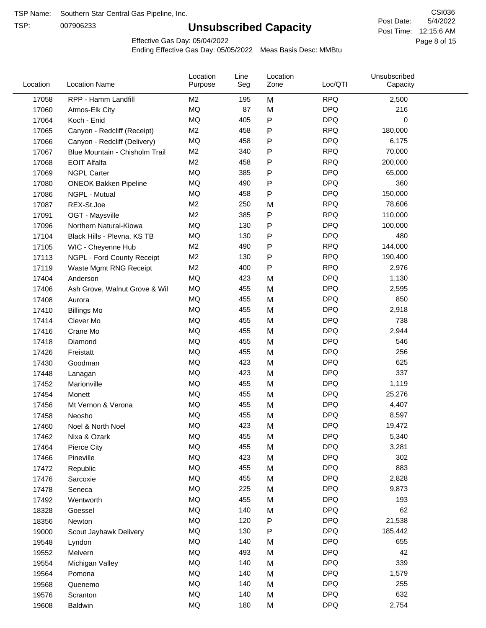TSP:

# **Unsubscribed Capacity**

5/4/2022 Page 8 of 15 Post Time: 12:15:6 AM CSI036 Post Date:

Effective Gas Day: 05/04/2022

| Location | <b>Location Name</b>           | Location<br>Purpose | Line<br>Seg | Location<br>Zone | Loc/QTI    | Unsubscribed<br>Capacity |  |
|----------|--------------------------------|---------------------|-------------|------------------|------------|--------------------------|--|
| 17058    | RPP - Hamm Landfill            | M <sub>2</sub>      | 195         | M                | <b>RPQ</b> | 2,500                    |  |
| 17060    | Atmos-Elk City                 | MQ                  | 87          | M                | <b>DPQ</b> | 216                      |  |
| 17064    | Koch - Enid                    | MQ                  | 405         | ${\sf P}$        | <b>DPQ</b> | 0                        |  |
| 17065    | Canyon - Redcliff (Receipt)    | M <sub>2</sub>      | 458         | P                | <b>RPQ</b> | 180,000                  |  |
| 17066    | Canyon - Redcliff (Delivery)   | <b>MQ</b>           | 458         | P                | <b>DPQ</b> | 6,175                    |  |
| 17067    | Blue Mountain - Chisholm Trail | M <sub>2</sub>      | 340         | ${\sf P}$        | <b>RPQ</b> | 70,000                   |  |
| 17068    | <b>EOIT Alfalfa</b>            | M <sub>2</sub>      | 458         | P                | <b>RPQ</b> | 200,000                  |  |
| 17069    | <b>NGPL Carter</b>             | <b>MQ</b>           | 385         | P                | <b>DPQ</b> | 65,000                   |  |
| 17080    | <b>ONEOK Bakken Pipeline</b>   | MQ                  | 490         | P                | <b>DPQ</b> | 360                      |  |
| 17086    | NGPL - Mutual                  | <b>MQ</b>           | 458         | ${\sf P}$        | <b>DPQ</b> | 150,000                  |  |
| 17087    | REX-St.Joe                     | M <sub>2</sub>      | 250         | M                | <b>RPQ</b> | 78,606                   |  |
| 17091    | OGT - Maysville                | M <sub>2</sub>      | 385         | ${\sf P}$        | <b>RPQ</b> | 110,000                  |  |
| 17096    | Northern Natural-Kiowa         | <b>MQ</b>           | 130         | ${\sf P}$        | <b>DPQ</b> | 100,000                  |  |
| 17104    | Black Hills - Plevna, KS TB    | <b>MQ</b>           | 130         | P                | <b>DPQ</b> | 480                      |  |
| 17105    | WIC - Cheyenne Hub             | M2                  | 490         | ${\sf P}$        | <b>RPQ</b> | 144,000                  |  |
| 17113    | NGPL - Ford County Receipt     | M <sub>2</sub>      | 130         | P                | <b>RPQ</b> | 190,400                  |  |
| 17119    | Waste Mgmt RNG Receipt         | M2                  | 400         | P                | <b>RPQ</b> | 2,976                    |  |
| 17404    | Anderson                       | MQ                  | 423         | M                | <b>DPQ</b> | 1,130                    |  |
| 17406    | Ash Grove, Walnut Grove & Wil  | <b>MQ</b>           | 455         | M                | <b>DPQ</b> | 2,595                    |  |
| 17408    | Aurora                         | <b>MQ</b>           | 455         | M                | <b>DPQ</b> | 850                      |  |
| 17410    | <b>Billings Mo</b>             | <b>MQ</b>           | 455         | M                | <b>DPQ</b> | 2,918                    |  |
| 17414    | Clever Mo                      | <b>MQ</b>           | 455         | M                | <b>DPQ</b> | 738                      |  |
| 17416    | Crane Mo                       | <b>MQ</b>           | 455         | M                | <b>DPQ</b> | 2,944                    |  |
| 17418    | Diamond                        | <b>MQ</b>           | 455         | M                | <b>DPQ</b> | 546                      |  |
| 17426    | Freistatt                      | <b>MQ</b>           | 455         | M                | <b>DPQ</b> | 256                      |  |
| 17430    | Goodman                        | <b>MQ</b>           | 423         | M                | <b>DPQ</b> | 625                      |  |
| 17448    | Lanagan                        | <b>MQ</b>           | 423         | M                | <b>DPQ</b> | 337                      |  |
| 17452    | Marionville                    | <b>MQ</b>           | 455         | M                | <b>DPQ</b> | 1,119                    |  |
| 17454    | Monett                         | <b>MQ</b>           | 455         | M                | <b>DPQ</b> | 25,276                   |  |
| 17456    | Mt Vernon & Verona             | MQ                  | 455         | M                | <b>DPQ</b> | 4,407                    |  |
| 17458    | Neosho                         | <b>MQ</b>           | 455         | M                | <b>DPQ</b> | 8,597                    |  |
| 17460    | Noel & North Noel              | MQ                  | 423         | M                | <b>DPQ</b> | 19,472                   |  |
| 17462    | Nixa & Ozark                   | MQ                  | 455         | M                | <b>DPQ</b> | 5,340                    |  |
| 17464    | Pierce City                    | $\sf{MQ}$           | 455         | M                | <b>DPQ</b> | 3,281                    |  |
| 17466    | Pineville                      | MQ                  | 423         | M                | <b>DPQ</b> | 302                      |  |
| 17472    | Republic                       | MQ                  | 455         | M                | <b>DPQ</b> | 883                      |  |
| 17476    | Sarcoxie                       | MQ                  | 455         | M                | <b>DPQ</b> | 2,828                    |  |
| 17478    | Seneca                         | MQ                  | 225         | M                | <b>DPQ</b> | 9,873                    |  |
| 17492    | Wentworth                      | $\sf{MQ}$           | 455         | M                | <b>DPQ</b> | 193                      |  |
| 18328    | Goessel                        | MQ                  | 140         | M                | <b>DPQ</b> | 62                       |  |
| 18356    | Newton                         | MQ                  | 120         | ${\sf P}$        | <b>DPQ</b> | 21,538                   |  |
| 19000    | Scout Jayhawk Delivery         | MQ                  | 130         | P                | <b>DPQ</b> | 185,442                  |  |
| 19548    | Lyndon                         | MQ                  | 140         | M                | <b>DPQ</b> | 655                      |  |
| 19552    | Melvern                        | MQ                  | 493         | M                | <b>DPQ</b> | 42                       |  |
| 19554    | Michigan Valley                | MQ                  | 140         | M                | <b>DPQ</b> | 339                      |  |
| 19564    | Pomona                         | MQ                  | 140         | M                | <b>DPQ</b> | 1,579                    |  |
| 19568    | Quenemo                        | MQ                  | 140         | M                | <b>DPQ</b> | 255                      |  |
| 19576    | Scranton                       | MQ                  | 140         | M                | <b>DPQ</b> | 632                      |  |
| 19608    | Baldwin                        | $\sf{MQ}$           | 180         | M                | <b>DPQ</b> | 2,754                    |  |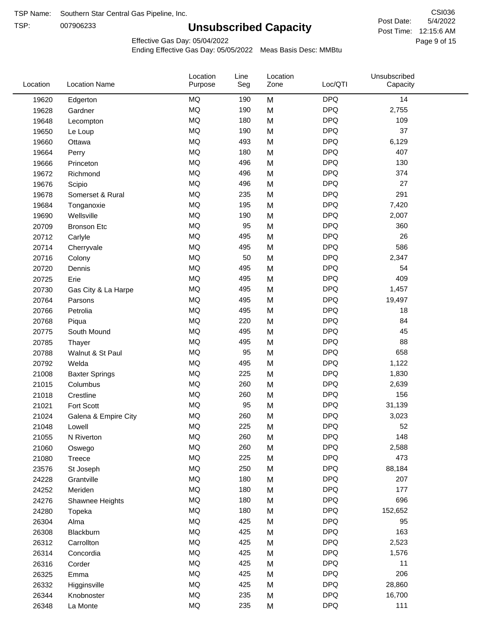TSP:

# **Unsubscribed Capacity**

5/4/2022 Page 9 of 15 Post Time: 12:15:6 AM CSI036 Post Date:

Effective Gas Day: 05/04/2022

| Location | <b>Location Name</b>  | Location<br>Purpose | Line<br>Seg | Location<br>Zone | Loc/QTI    | Unsubscribed<br>Capacity |  |
|----------|-----------------------|---------------------|-------------|------------------|------------|--------------------------|--|
| 19620    | Edgerton              | <b>MQ</b>           | 190         | M                | <b>DPQ</b> | 14                       |  |
| 19628    | Gardner               | MQ                  | 190         | M                | <b>DPQ</b> | 2,755                    |  |
| 19648    | Lecompton             | MQ                  | 180         | M                | <b>DPQ</b> | 109                      |  |
| 19650    | Le Loup               | <b>MQ</b>           | 190         | M                | <b>DPQ</b> | 37                       |  |
| 19660    | Ottawa                | <b>MQ</b>           | 493         | M                | <b>DPQ</b> | 6,129                    |  |
| 19664    | Perry                 | MQ                  | 180         | M                | <b>DPQ</b> | 407                      |  |
| 19666    | Princeton             | MQ                  | 496         | M                | <b>DPQ</b> | 130                      |  |
| 19672    | Richmond              | MQ                  | 496         | M                | <b>DPQ</b> | 374                      |  |
| 19676    | Scipio                | <b>MQ</b>           | 496         | M                | <b>DPQ</b> | 27                       |  |
| 19678    | Somerset & Rural      | <b>MQ</b>           | 235         | M                | <b>DPQ</b> | 291                      |  |
| 19684    | Tonganoxie            | <b>MQ</b>           | 195         | M                | <b>DPQ</b> | 7,420                    |  |
| 19690    | Wellsville            | <b>MQ</b>           | 190         | M                | <b>DPQ</b> | 2,007                    |  |
| 20709    | <b>Bronson Etc</b>    | MQ                  | 95          | M                | <b>DPQ</b> | 360                      |  |
| 20712    | Carlyle               | MQ                  | 495         | M                | <b>DPQ</b> | 26                       |  |
| 20714    | Cherryvale            | <b>MQ</b>           | 495         | M                | <b>DPQ</b> | 586                      |  |
| 20716    | Colony                | MQ                  | 50          | M                | <b>DPQ</b> | 2,347                    |  |
| 20720    | Dennis                | MQ                  | 495         | M                | <b>DPQ</b> | 54                       |  |
| 20725    | Erie                  | <b>MQ</b>           | 495         | M                | <b>DPQ</b> | 409                      |  |
| 20730    | Gas City & La Harpe   | <b>MQ</b>           | 495         | M                | <b>DPQ</b> | 1,457                    |  |
| 20764    | Parsons               | <b>MQ</b>           | 495         | M                | <b>DPQ</b> | 19,497                   |  |
| 20766    | Petrolia              | MQ                  | 495         | M                | <b>DPQ</b> | 18                       |  |
| 20768    | Piqua                 | MQ                  | 220         | M                | <b>DPQ</b> | 84                       |  |
| 20775    | South Mound           | MQ                  | 495         | M                | <b>DPQ</b> | 45                       |  |
| 20785    | Thayer                | <b>MQ</b>           | 495         | M                | <b>DPQ</b> | 88                       |  |
| 20788    | Walnut & St Paul      | MQ                  | 95          | M                | <b>DPQ</b> | 658                      |  |
| 20792    | Welda                 | <b>MQ</b>           | 495         | M                | <b>DPQ</b> | 1,122                    |  |
| 21008    | <b>Baxter Springs</b> | <b>MQ</b>           | 225         | M                | <b>DPQ</b> | 1,830                    |  |
| 21015    | Columbus              | MQ                  | 260         | M                | <b>DPQ</b> | 2,639                    |  |
| 21018    | Crestline             | MQ                  | 260         | M                | <b>DPQ</b> | 156                      |  |
| 21021    | Fort Scott            | MQ                  | 95          | M                | <b>DPQ</b> | 31,139                   |  |
| 21024    | Galena & Empire City  | MQ                  | 260         | M                | <b>DPQ</b> | 3,023                    |  |
| 21048    | Lowell                | $\sf{MQ}$           | 225         | M                | <b>DPQ</b> | 52                       |  |
| 21055    | N Riverton            | MQ                  | 260         | M                | <b>DPQ</b> | 148                      |  |
| 21060    | Oswego                | $\sf{MQ}$           | 260         | M                | <b>DPQ</b> | 2,588                    |  |
| 21080    | Treece                | MQ                  | 225         | M                | <b>DPQ</b> | 473                      |  |
| 23576    | St Joseph             | MQ                  | 250         | M                | <b>DPQ</b> | 88,184                   |  |
| 24228    | Grantville            | MQ                  | 180         | M                | <b>DPQ</b> | 207                      |  |
| 24252    | Meriden               | $\sf{MQ}$           | 180         | M                | <b>DPQ</b> | 177                      |  |
| 24276    | Shawnee Heights       | $\sf{MQ}$           | 180         | M                | <b>DPQ</b> | 696                      |  |
| 24280    | Topeka                | $\sf{MQ}$           | 180         | M                | <b>DPQ</b> | 152,652                  |  |
| 26304    | Alma                  | MQ                  | 425         | M                | <b>DPQ</b> | 95                       |  |
| 26308    | Blackburn             | MQ                  | 425         | M                | <b>DPQ</b> | 163                      |  |
| 26312    | Carrollton            | MQ                  | 425         | M                | <b>DPQ</b> | 2,523                    |  |
| 26314    | Concordia             | $\sf{MQ}$           | 425         | M                | <b>DPQ</b> | 1,576                    |  |
| 26316    | Corder                | $\sf{MQ}$           | 425         | M                | <b>DPQ</b> | 11                       |  |
| 26325    | Emma                  | MQ                  | 425         | M                | <b>DPQ</b> | 206                      |  |
| 26332    | Higginsville          | MQ                  | 425         | M                | <b>DPQ</b> | 28,860                   |  |
| 26344    | Knobnoster            | $\sf{MQ}$           | 235         | M                | <b>DPQ</b> | 16,700                   |  |
| 26348    | La Monte              | $\sf{MQ}$           | 235         | M                | <b>DPQ</b> | 111                      |  |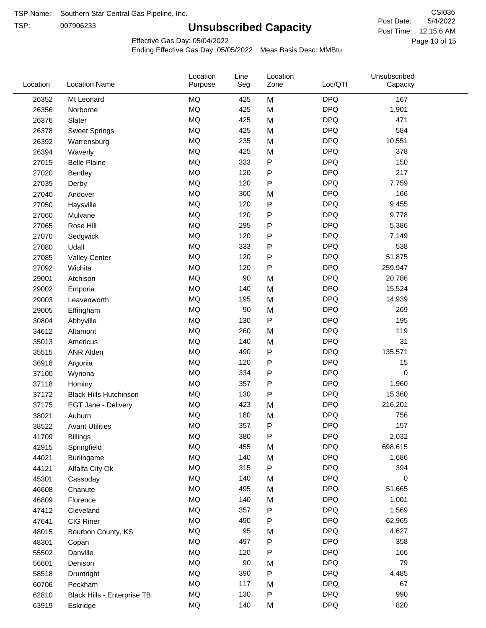TSP:

# **Unsubscribed Capacity**

5/4/2022 Page 10 of 15 Post Time: 12:15:6 AM CSI036 Post Date:

Effective Gas Day: 05/04/2022

| Location | <b>Location Name</b>          | Location<br>Purpose | Line<br>Seg | Location<br>Zone | Loc/QTI    | Unsubscribed<br>Capacity |  |
|----------|-------------------------------|---------------------|-------------|------------------|------------|--------------------------|--|
| 26352    | Mt Leonard                    | <b>MQ</b>           | 425         | M                | <b>DPQ</b> | 167                      |  |
| 26356    | Norborne                      | MQ                  | 425         | M                | <b>DPQ</b> | 1,901                    |  |
| 26376    | Slater                        | MQ                  | 425         | M                | <b>DPQ</b> | 471                      |  |
| 26378    | <b>Sweet Springs</b>          | MQ                  | 425         | M                | <b>DPQ</b> | 584                      |  |
| 26392    | Warrensburg                   | MQ                  | 235         | M                | <b>DPQ</b> | 10,551                   |  |
| 26394    | Waverly                       | <b>MQ</b>           | 425         | M                | <b>DPQ</b> | 378                      |  |
| 27015    | <b>Belle Plaine</b>           | <b>MQ</b>           | 333         | ${\sf P}$        | <b>DPQ</b> | 150                      |  |
| 27020    | <b>Bentley</b>                | MQ                  | 120         | P                | <b>DPQ</b> | 217                      |  |
| 27035    | Derby                         | MQ                  | 120         | P                | <b>DPQ</b> | 7,759                    |  |
| 27040    | Andover                       | <b>MQ</b>           | 300         | M                | <b>DPQ</b> | 166                      |  |
| 27050    | Haysville                     | MQ                  | 120         | ${\sf P}$        | <b>DPQ</b> | 9,455                    |  |
| 27060    | Mulvane                       | MQ                  | 120         | P                | <b>DPQ</b> | 9,778                    |  |
| 27065    | Rose Hill                     | MQ                  | 295         | P                | <b>DPQ</b> | 5,386                    |  |
| 27070    | Sedgwick                      | <b>MQ</b>           | 120         | P                | <b>DPQ</b> | 7,149                    |  |
| 27080    | Udall                         | <b>MQ</b>           | 333         | ${\sf P}$        | <b>DPQ</b> | 538                      |  |
| 27085    | <b>Valley Center</b>          | MQ                  | 120         | P                | <b>DPQ</b> | 51,875                   |  |
| 27092    | Wichita                       | MQ                  | 120         | $\mathsf{P}$     | <b>DPQ</b> | 259,947                  |  |
| 29001    | Atchison                      | MQ                  | 90          | M                | <b>DPQ</b> | 20,786                   |  |
| 29002    | Emporia                       | MQ                  | 140         | M                | <b>DPQ</b> | 15,524                   |  |
| 29003    | Leavenworth                   | MQ                  | 195         | M                | <b>DPQ</b> | 14,939                   |  |
| 29005    | Effingham                     | MQ                  | 90          | M                | <b>DPQ</b> | 269                      |  |
| 30804    | Abbyville                     | MQ                  | 130         | P                | <b>DPQ</b> | 195                      |  |
| 34612    | Altamont                      | <b>MQ</b>           | 260         | M                | <b>DPQ</b> | 119                      |  |
| 35013    | Americus                      | <b>MQ</b>           | 140         | M                | <b>DPQ</b> | 31                       |  |
| 35515    | <b>ANR Alden</b>              | <b>MQ</b>           | 490         | ${\sf P}$        | <b>DPQ</b> | 135,571                  |  |
| 36918    | Argonia                       | MQ                  | 120         | ${\sf P}$        | <b>DPQ</b> | 15                       |  |
| 37100    | Wynona                        | MQ                  | 334         | P                | <b>DPQ</b> | $\mathbf 0$              |  |
| 37118    | Hominy                        | <b>MQ</b>           | 357         | ${\sf P}$        | <b>DPQ</b> | 1,960                    |  |
| 37172    | <b>Black Hills Hutchinson</b> | MQ                  | 130         | ${\sf P}$        | <b>DPQ</b> | 15,360                   |  |
| 37175    | EGT Jane - Delivery           | MQ                  | 423         | M                | <b>DPQ</b> | 216,201                  |  |
| 38021    | Auburn                        | <b>MQ</b>           | 180         | M                | <b>DPQ</b> | 756                      |  |
| 38522    | <b>Avant Utilities</b>        | MQ                  | 357         | P                | <b>DPQ</b> | 157                      |  |
| 41709    | <b>Billings</b>               | MQ                  | 380         | P                | <b>DPQ</b> | 2,032                    |  |
| 42915    | Springfield                   | $\sf{MQ}$           | 455         | M                | <b>DPQ</b> | 698,615                  |  |
| 44021    | Burlingame                    | $\sf{MQ}$           | 140         | M                | <b>DPQ</b> | 1,686                    |  |
| 44121    | Alfalfa City Ok               | $\sf{MQ}$           | 315         | P                | <b>DPQ</b> | 394                      |  |
| 45301    | Cassoday                      | MQ                  | 140         | M                | <b>DPQ</b> | $\mathbf 0$              |  |
| 46608    | Chanute                       | MQ                  | 495         | M                | <b>DPQ</b> | 51,665                   |  |
| 46809    | Florence                      | MQ                  | 140         | M                | <b>DPQ</b> | 1,001                    |  |
| 47412    | Cleveland                     | MQ                  | 357         | Ρ                | <b>DPQ</b> | 1,569                    |  |
| 47641    | CIG Riner                     | $\sf{MQ}$           | 490         | Ρ                | <b>DPQ</b> | 62,965                   |  |
| 48015    | Bourbon County, KS            | MQ                  | 95          | M                | <b>DPQ</b> | 4,627                    |  |
| 48301    | Copan                         | MQ                  | 497         | ${\sf P}$        | <b>DPQ</b> | 358                      |  |
| 55502    | Danville                      | $\sf{MQ}$           | 120         | ${\sf P}$        | <b>DPQ</b> | 166                      |  |
| 56601    | Denison                       | $\sf{MQ}$           | 90          | M                | <b>DPQ</b> | 79                       |  |
| 58518    | Drumright                     | MQ                  | 390         | P                | <b>DPQ</b> | 4,485                    |  |
| 60706    | Peckham                       | MQ                  | 117         | M                | <b>DPQ</b> | 67                       |  |
| 62810    | Black Hills - Enterprise TB   | MQ                  | 130         | P                | <b>DPQ</b> | 990                      |  |
| 63919    | Eskridge                      | $\sf{MQ}$           | 140         | M                | <b>DPQ</b> | 820                      |  |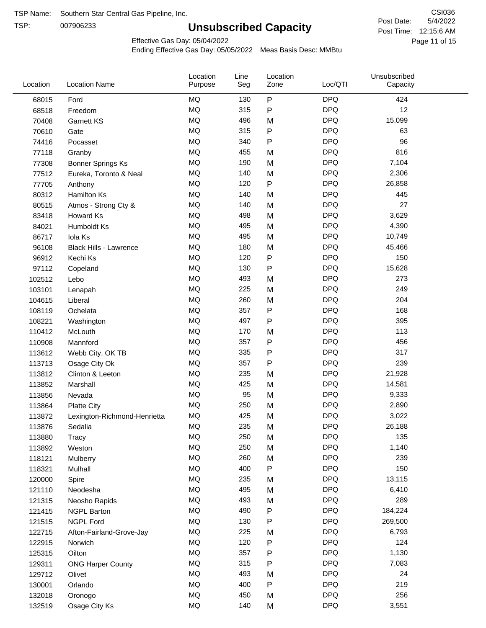TSP:

# **Unsubscribed Capacity**

5/4/2022 Page 11 of 15 Post Time: 12:15:6 AM CSI036 Post Date:

Effective Gas Day: 05/04/2022

| Location | <b>Location Name</b>          | Location<br>Purpose | Line<br>Seg | Location<br>Zone | Loc/QTI    | Unsubscribed<br>Capacity |  |
|----------|-------------------------------|---------------------|-------------|------------------|------------|--------------------------|--|
| 68015    | Ford                          | <b>MQ</b>           | 130         | $\sf P$          | <b>DPQ</b> | 424                      |  |
| 68518    | Freedom                       | MQ                  | 315         | P                | <b>DPQ</b> | 12                       |  |
| 70408    | <b>Garnett KS</b>             | MQ                  | 496         | M                | <b>DPQ</b> | 15,099                   |  |
| 70610    | Gate                          | <b>MQ</b>           | 315         | P                | <b>DPQ</b> | 63                       |  |
| 74416    | Pocasset                      | <b>MQ</b>           | 340         | P                | <b>DPQ</b> | 96                       |  |
| 77118    | Granby                        | <b>MQ</b>           | 455         | M                | <b>DPQ</b> | 816                      |  |
| 77308    | Bonner Springs Ks             | MQ                  | 190         | M                | <b>DPQ</b> | 7,104                    |  |
| 77512    | Eureka, Toronto & Neal        | MQ                  | 140         | M                | <b>DPQ</b> | 2,306                    |  |
| 77705    | Anthony                       | <b>MQ</b>           | 120         | P                | <b>DPQ</b> | 26,858                   |  |
| 80312    | <b>Hamilton Ks</b>            | <b>MQ</b>           | 140         | M                | <b>DPQ</b> | 445                      |  |
| 80515    | Atmos - Strong Cty &          | MQ                  | 140         | M                | <b>DPQ</b> | 27                       |  |
| 83418    | Howard Ks                     | MQ                  | 498         | M                | <b>DPQ</b> | 3,629                    |  |
| 84021    | Humboldt Ks                   | <b>MQ</b>           | 495         | M                | <b>DPQ</b> | 4,390                    |  |
| 86717    | Iola Ks                       | MQ                  | 495         | M                | <b>DPQ</b> | 10,749                   |  |
| 96108    | <b>Black Hills - Lawrence</b> | MQ                  | 180         | M                | <b>DPQ</b> | 45,466                   |  |
| 96912    | Kechi Ks                      | MQ                  | 120         | P                | <b>DPQ</b> | 150                      |  |
| 97112    | Copeland                      | MQ                  | 130         | P                | <b>DPQ</b> | 15,628                   |  |
| 102512   | Lebo                          | MQ                  | 493         | M                | <b>DPQ</b> | 273                      |  |
| 103101   | Lenapah                       | MQ                  | 225         | M                | <b>DPQ</b> | 249                      |  |
| 104615   | Liberal                       | MQ                  | 260         | M                | <b>DPQ</b> | 204                      |  |
| 108119   | Ochelata                      | MQ                  | 357         | P                | <b>DPQ</b> | 168                      |  |
| 108221   | Washington                    | MQ                  | 497         | Ρ                | <b>DPQ</b> | 395                      |  |
| 110412   | McLouth                       | MQ                  | 170         | M                | <b>DPQ</b> | 113                      |  |
| 110908   | Mannford                      | MQ                  | 357         | P                | <b>DPQ</b> | 456                      |  |
| 113612   | Webb City, OK TB              | MQ                  | 335         | Ρ                | <b>DPQ</b> | 317                      |  |
| 113713   | Osage City Ok                 | MQ                  | 357         | P                | <b>DPQ</b> | 239                      |  |
| 113812   | Clinton & Leeton              | MQ                  | 235         | M                | <b>DPQ</b> | 21,928                   |  |
| 113852   | Marshall                      | MQ                  | 425         | M                | <b>DPQ</b> | 14,581                   |  |
| 113856   | Nevada                        | MQ                  | 95          | M                | <b>DPQ</b> | 9,333                    |  |
| 113864   | <b>Platte City</b>            | MQ                  | 250         | M                | <b>DPQ</b> | 2,890                    |  |
| 113872   | Lexington-Richmond-Henrietta  | MQ                  | 425         | M                | <b>DPQ</b> | 3,022                    |  |
| 113876   | Sedalia                       | MQ                  | 235         | M                | <b>DPQ</b> | 26,188                   |  |
| 113880   | Tracy                         | MQ                  | 250         | M                | <b>DPQ</b> | 135                      |  |
| 113892   | Weston                        | MQ                  | 250         | M                | <b>DPQ</b> | 1,140                    |  |
| 118121   | Mulberry                      | MQ                  | 260         | M                | <b>DPQ</b> | 239                      |  |
| 118321   | Mulhall                       | MQ                  | 400         | P                | <b>DPQ</b> | 150                      |  |
| 120000   | Spire                         | MQ                  | 235         | M                | <b>DPQ</b> | 13,115                   |  |
| 121110   | Neodesha                      | MQ                  | 495         | M                | <b>DPQ</b> | 6,410                    |  |
| 121315   | Neosho Rapids                 | $\sf{MQ}$           | 493         | M                | <b>DPQ</b> | 289                      |  |
| 121415   | <b>NGPL Barton</b>            | $\sf{MQ}$           | 490         | Ρ                | <b>DPQ</b> | 184,224                  |  |
| 121515   | <b>NGPL Ford</b>              | MQ                  | 130         | Ρ                | <b>DPQ</b> | 269,500                  |  |
| 122715   | Afton-Fairland-Grove-Jay      | MQ                  | 225         | M                | <b>DPQ</b> | 6,793                    |  |
| 122915   | Norwich                       | MQ                  | 120         | Ρ                | <b>DPQ</b> | 124                      |  |
| 125315   | Oilton                        | MQ                  | 357         | Ρ                | <b>DPQ</b> | 1,130                    |  |
| 129311   | <b>ONG Harper County</b>      | MQ                  | 315         | P                | <b>DPQ</b> | 7,083                    |  |
| 129712   | Olivet                        | MQ                  | 493         | M                | <b>DPQ</b> | 24                       |  |
| 130001   | Orlando                       | MQ                  | 400         | ${\sf P}$        | <b>DPQ</b> | 219                      |  |
| 132018   | Oronogo                       | $\sf{MQ}$           | 450         | M                | <b>DPQ</b> | 256                      |  |
| 132519   | Osage City Ks                 | $\sf{MQ}$           | 140         | M                | <b>DPQ</b> | 3,551                    |  |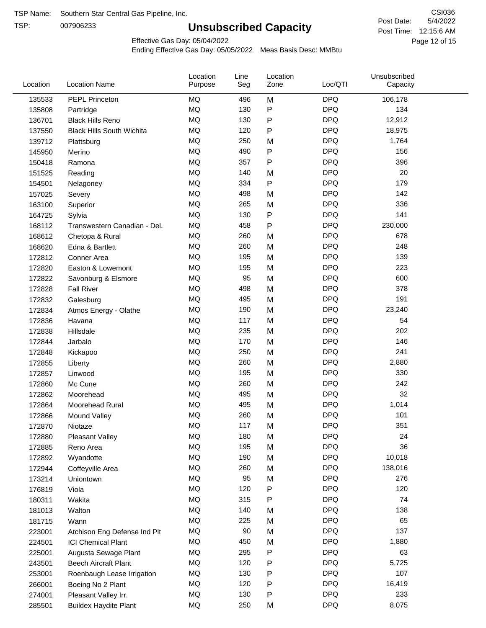TSP:

# **Unsubscribed Capacity**

5/4/2022 Page 12 of 15 Post Time: 12:15:6 AM CSI036 Post Date:

Effective Gas Day: 05/04/2022

| Location | <b>Location Name</b>             | Location<br>Purpose | Line<br>Seg | Location<br>Zone | Loc/QTI    | Unsubscribed<br>Capacity |  |
|----------|----------------------------------|---------------------|-------------|------------------|------------|--------------------------|--|
| 135533   | PEPL Princeton                   | <b>MQ</b>           | 496         | M                | <b>DPQ</b> | 106,178                  |  |
| 135808   | Partridge                        | <b>MQ</b>           | 130         | P                | <b>DPQ</b> | 134                      |  |
| 136701   | <b>Black Hills Reno</b>          | MQ                  | 130         | P                | <b>DPQ</b> | 12,912                   |  |
| 137550   | <b>Black Hills South Wichita</b> | MQ                  | 120         | P                | <b>DPQ</b> | 18,975                   |  |
| 139712   | Plattsburg                       | <b>MQ</b>           | 250         | M                | <b>DPQ</b> | 1,764                    |  |
| 145950   | Merino                           | <b>MQ</b>           | 490         | P                | <b>DPQ</b> | 156                      |  |
| 150418   | Ramona                           | <b>MQ</b>           | 357         | P                | <b>DPQ</b> | 396                      |  |
| 151525   | Reading                          | <b>MQ</b>           | 140         | M                | <b>DPQ</b> | 20                       |  |
| 154501   | Nelagoney                        | <b>MQ</b>           | 334         | $\mathsf{P}$     | <b>DPQ</b> | 179                      |  |
| 157025   | Severy                           | <b>MQ</b>           | 498         | M                | <b>DPQ</b> | 142                      |  |
| 163100   | Superior                         | <b>MQ</b>           | 265         | M                | <b>DPQ</b> | 336                      |  |
| 164725   | Sylvia                           | <b>MQ</b>           | 130         | P                | <b>DPQ</b> | 141                      |  |
| 168112   | Transwestern Canadian - Del.     | <b>MQ</b>           | 458         | P                | <b>DPQ</b> | 230,000                  |  |
| 168612   | Chetopa & Rural                  | <b>MQ</b>           | 260         | M                | <b>DPQ</b> | 678                      |  |
| 168620   | Edna & Bartlett                  | <b>MQ</b>           | 260         | M                | <b>DPQ</b> | 248                      |  |
| 172812   | Conner Area                      | <b>MQ</b>           | 195         | M                | <b>DPQ</b> | 139                      |  |
| 172820   | Easton & Lowemont                | <b>MQ</b>           | 195         | M                | <b>DPQ</b> | 223                      |  |
| 172822   | Savonburg & Elsmore              | MQ                  | 95          | M                | <b>DPQ</b> | 600                      |  |
| 172828   | <b>Fall River</b>                | <b>MQ</b>           | 498         | M                | <b>DPQ</b> | 378                      |  |
| 172832   | Galesburg                        | <b>MQ</b>           | 495         | M                | <b>DPQ</b> | 191                      |  |
| 172834   | Atmos Energy - Olathe            | <b>MQ</b>           | 190         | M                | <b>DPQ</b> | 23,240                   |  |
| 172836   | Havana                           | <b>MQ</b>           | 117         | M                | <b>DPQ</b> | 54                       |  |
| 172838   | Hillsdale                        | <b>MQ</b>           | 235         | M                | <b>DPQ</b> | 202                      |  |
| 172844   | Jarbalo                          | <b>MQ</b>           | 170         | M                | <b>DPQ</b> | 146                      |  |
| 172848   | Kickapoo                         | <b>MQ</b>           | 250         | M                | <b>DPQ</b> | 241                      |  |
| 172855   | Liberty                          | <b>MQ</b>           | 260         | M                | <b>DPQ</b> | 2,880                    |  |
| 172857   | Linwood                          | <b>MQ</b>           | 195         | M                | <b>DPQ</b> | 330                      |  |
| 172860   | Mc Cune                          | <b>MQ</b>           | 260         | M                | <b>DPQ</b> | 242                      |  |
| 172862   | Moorehead                        | <b>MQ</b>           | 495         | M                | <b>DPQ</b> | 32                       |  |
| 172864   | Moorehead Rural                  | <b>MQ</b>           | 495         | M                | <b>DPQ</b> | 1,014                    |  |
| 172866   | Mound Valley                     | <b>MQ</b>           | 260         | M                | <b>DPQ</b> | 101                      |  |
| 172870   | Niotaze                          | MQ                  | 117         | M                | <b>DPQ</b> | 351                      |  |
| 172880   | <b>Pleasant Valley</b>           | MQ                  | 180         | M                | <b>DPQ</b> | 24                       |  |
| 172885   | Reno Area                        | MQ                  | 195         | M                | <b>DPQ</b> | 36                       |  |
| 172892   | Wyandotte                        | MQ                  | 190         | M                | <b>DPQ</b> | 10,018                   |  |
| 172944   | Coffeyville Area                 | MQ                  | 260         | M                | <b>DPQ</b> | 138,016                  |  |
| 173214   | Uniontown                        | <b>MQ</b>           | 95          | M                | <b>DPQ</b> | 276                      |  |
| 176819   | Viola                            | <b>MQ</b>           | 120         | P                | <b>DPQ</b> | 120                      |  |
| 180311   | Wakita                           | <b>MQ</b>           | 315         | Ρ                | <b>DPQ</b> | 74                       |  |
| 181013   | Walton                           | MQ                  | 140         | M                | <b>DPQ</b> | 138                      |  |
| 181715   | Wann                             | MQ                  | 225         | M                | <b>DPQ</b> | 65                       |  |
| 223001   | Atchison Eng Defense Ind Plt     | MQ                  | 90          | M                | <b>DPQ</b> | 137                      |  |
| 224501   | <b>ICI Chemical Plant</b>        | MQ                  | 450         | M                | <b>DPQ</b> | 1,880                    |  |
| 225001   | Augusta Sewage Plant             | MQ                  | 295         | Ρ                | <b>DPQ</b> | 63                       |  |
| 243501   | <b>Beech Aircraft Plant</b>      | MQ                  | 120         | P                | <b>DPQ</b> | 5,725                    |  |
| 253001   | Roenbaugh Lease Irrigation       | MQ                  | 130         | P                | <b>DPQ</b> | 107                      |  |
| 266001   | Boeing No 2 Plant                | MQ                  | 120         | Ρ                | <b>DPQ</b> | 16,419                   |  |
| 274001   | Pleasant Valley Irr.             | MQ                  | 130         | P                | <b>DPQ</b> | 233                      |  |
| 285501   | <b>Buildex Haydite Plant</b>     | <b>MQ</b>           | 250         | M                | <b>DPQ</b> | 8,075                    |  |
|          |                                  |                     |             |                  |            |                          |  |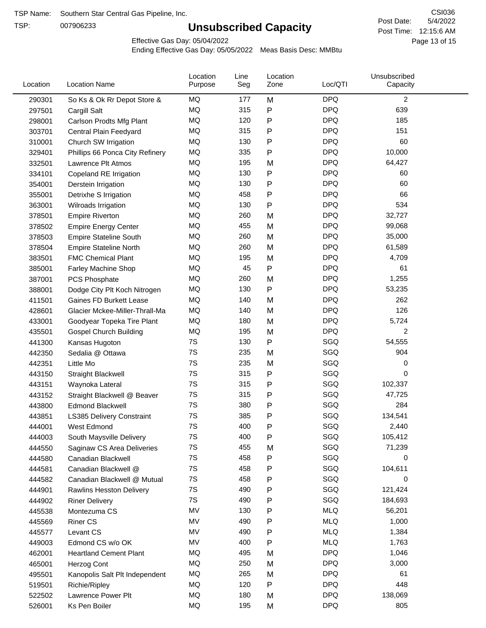TSP:

# **Unsubscribed Capacity**

5/4/2022 Page 13 of 15 Post Time: 12:15:6 AM CSI036 Post Date:

Effective Gas Day: 05/04/2022

| Location | <b>Location Name</b>             | Location<br>Purpose | Line<br>Seg | Location<br>Zone | Loc/QTI    | Unsubscribed<br>Capacity |  |
|----------|----------------------------------|---------------------|-------------|------------------|------------|--------------------------|--|
| 290301   | So Ks & Ok Rr Depot Store &      | MQ                  | 177         | M                | <b>DPQ</b> | $\overline{c}$           |  |
| 297501   | Cargill Salt                     | <b>MQ</b>           | 315         | P                | <b>DPQ</b> | 639                      |  |
| 298001   | Carlson Prodts Mfg Plant         | MQ                  | 120         | Ρ                | <b>DPQ</b> | 185                      |  |
| 303701   | Central Plain Feedyard           | <b>MQ</b>           | 315         | P                | <b>DPQ</b> | 151                      |  |
| 310001   | Church SW Irrigation             | MQ                  | 130         | Ρ                | <b>DPQ</b> | 60                       |  |
| 329401   | Phillips 66 Ponca City Refinery  | MQ                  | 335         | P                | <b>DPQ</b> | 10,000                   |  |
| 332501   | Lawrence Plt Atmos               | MQ                  | 195         | M                | <b>DPQ</b> | 64,427                   |  |
| 334101   | Copeland RE Irrigation           | MQ                  | 130         | P                | <b>DPQ</b> | 60                       |  |
| 354001   | Derstein Irrigation              | MQ                  | 130         | P                | <b>DPQ</b> | 60                       |  |
| 355001   | Detrixhe S Irrigation            | MQ                  | 458         | Ρ                | <b>DPQ</b> | 66                       |  |
| 363001   | Wilroads Irrigation              | MQ                  | 130         | P                | <b>DPQ</b> | 534                      |  |
| 378501   | <b>Empire Riverton</b>           | MQ                  | 260         | M                | <b>DPQ</b> | 32,727                   |  |
| 378502   | <b>Empire Energy Center</b>      | MQ                  | 455         | M                | <b>DPQ</b> | 99,068                   |  |
| 378503   | <b>Empire Stateline South</b>    | MQ                  | 260         | M                | <b>DPQ</b> | 35,000                   |  |
| 378504   | <b>Empire Stateline North</b>    | MQ                  | 260         | M                | <b>DPQ</b> | 61,589                   |  |
| 383501   | <b>FMC Chemical Plant</b>        | MQ                  | 195         | M                | <b>DPQ</b> | 4,709                    |  |
| 385001   | Farley Machine Shop              | MQ                  | 45          | P                | <b>DPQ</b> | 61                       |  |
| 387001   | <b>PCS Phosphate</b>             | <b>MQ</b>           | 260         | M                | <b>DPQ</b> | 1,255                    |  |
| 388001   | Dodge City Plt Koch Nitrogen     | MQ                  | 130         | Ρ                | <b>DPQ</b> | 53,235                   |  |
| 411501   | Gaines FD Burkett Lease          | MQ                  | 140         | M                | <b>DPQ</b> | 262                      |  |
| 428601   | Glacier Mckee-Miller-Thrall-Ma   | MQ                  | 140         | M                | <b>DPQ</b> | 126                      |  |
| 433001   | Goodyear Topeka Tire Plant       | <b>MQ</b>           | 180         | M                | <b>DPQ</b> | 5,724                    |  |
| 435501   | <b>Gospel Church Building</b>    | MQ                  | 195         | M                | <b>DPQ</b> | 2                        |  |
| 441300   | Kansas Hugoton                   | 7S                  | 130         | P                | SGQ        | 54,555                   |  |
| 442350   | Sedalia @ Ottawa                 | 7S                  | 235         | M                | SGQ        | 904                      |  |
| 442351   | Little Mo                        | 7S                  | 235         | M                | SGQ        | 0                        |  |
| 443150   | <b>Straight Blackwell</b>        | 7S                  | 315         | P                | SGQ        | 0                        |  |
| 443151   | Waynoka Lateral                  | 7S                  | 315         | Ρ                | SGQ        | 102,337                  |  |
| 443152   | Straight Blackwell @ Beaver      | 7S                  | 315         | P                | SGQ        | 47,725                   |  |
| 443800   | <b>Edmond Blackwell</b>          | 7S                  | 380         | Ρ                | SGQ        | 284                      |  |
| 443851   | <b>LS385 Delivery Constraint</b> | 7S                  | 385         | P                | SGQ        | 134,541                  |  |
| 444001   | West Edmond                      | 7S                  | 400         | Ρ                | SGQ        | 2,440                    |  |
| 444003   | South Maysville Delivery         | 7S                  | 400         | P                | SGQ        | 105,412                  |  |
| 444550   | Saginaw CS Area Deliveries       | 7S                  | 455         | M                | SGQ        | 71,239                   |  |
| 444580   | Canadian Blackwell               | 7S                  | 458         | Ρ                | SGQ        | 0                        |  |
| 444581   | Canadian Blackwell @             | 7S                  | 458         | P                | SGQ        | 104,611                  |  |
| 444582   | Canadian Blackwell @ Mutual      | 7S                  | 458         | Ρ                | SGQ        | 0                        |  |
| 444901   | <b>Rawlins Hesston Delivery</b>  | 7S                  | 490         | P                | SGQ        | 121,424                  |  |
| 444902   | <b>Riner Delivery</b>            | 7S                  | 490         | Ρ                | SGQ        | 184,693                  |  |
| 445538   | Montezuma CS                     | MV                  | 130         | Ρ                | <b>MLQ</b> | 56,201                   |  |
| 445569   | <b>Riner CS</b>                  | MV                  | 490         | P                | <b>MLQ</b> | 1,000                    |  |
| 445577   | Levant CS                        | MV                  | 490         | Ρ                | <b>MLQ</b> | 1,384                    |  |
| 449003   | Edmond CS w/o OK                 | MV                  | 400         | P                | <b>MLQ</b> | 1,763                    |  |
| 462001   | <b>Heartland Cement Plant</b>    | MQ                  | 495         | M                | <b>DPQ</b> | 1,046                    |  |
| 465001   | Herzog Cont                      | MQ                  | 250         | M                | <b>DPQ</b> | 3,000                    |  |
| 495501   | Kanopolis Salt Plt Independent   | MQ                  | 265         | M                | <b>DPQ</b> | 61                       |  |
| 519501   | Richie/Ripley                    | MQ                  | 120         | P                | <b>DPQ</b> | 448                      |  |
| 522502   | Lawrence Power Plt               | MQ                  | 180         | M                | <b>DPQ</b> | 138,069                  |  |
| 526001   | Ks Pen Boiler                    | MQ                  | 195         | M                | <b>DPQ</b> | 805                      |  |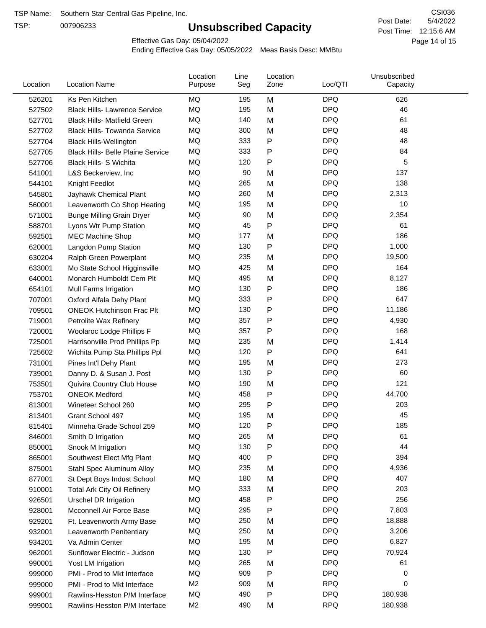TSP:

# **Unsubscribed Capacity**

5/4/2022 Page 14 of 15 Post Time: 12:15:6 AM CSI036 Post Date:

Effective Gas Day: 05/04/2022

| Location | <b>Location Name</b>                     | Location<br>Purpose | Line<br>Seg | Location<br>Zone | Loc/QTI    | Unsubscribed<br>Capacity |  |
|----------|------------------------------------------|---------------------|-------------|------------------|------------|--------------------------|--|
| 526201   | Ks Pen Kitchen                           | MQ                  | 195         | M                | <b>DPQ</b> | 626                      |  |
| 527502   | <b>Black Hills- Lawrence Service</b>     | MQ                  | 195         | M                | <b>DPQ</b> | 46                       |  |
| 527701   | <b>Black Hills- Matfield Green</b>       | <b>MQ</b>           | 140         | M                | <b>DPQ</b> | 61                       |  |
| 527702   | <b>Black Hills- Towanda Service</b>      | <b>MQ</b>           | 300         | M                | <b>DPQ</b> | 48                       |  |
| 527704   | <b>Black Hills-Wellington</b>            | MQ                  | 333         | P                | <b>DPQ</b> | 48                       |  |
| 527705   | <b>Black Hills- Belle Plaine Service</b> | MQ                  | 333         | P                | <b>DPQ</b> | 84                       |  |
| 527706   | Black Hills- S Wichita                   | MQ                  | 120         | $\mathsf{P}$     | <b>DPQ</b> | 5                        |  |
| 541001   | L&S Beckerview, Inc                      | MQ                  | 90          | M                | <b>DPQ</b> | 137                      |  |
| 544101   | Knight Feedlot                           | MQ                  | 265         | M                | <b>DPQ</b> | 138                      |  |
| 545801   | Jayhawk Chemical Plant                   | MQ                  | 260         | M                | <b>DPQ</b> | 2,313                    |  |
| 560001   | Leavenworth Co Shop Heating              | MQ                  | 195         | M                | <b>DPQ</b> | 10                       |  |
| 571001   | <b>Bunge Milling Grain Dryer</b>         | MQ                  | 90          | M                | <b>DPQ</b> | 2,354                    |  |
| 588701   | Lyons Wtr Pump Station                   | MQ                  | 45          | P                | <b>DPQ</b> | 61                       |  |
| 592501   | <b>MEC Machine Shop</b>                  | MQ                  | 177         | M                | <b>DPQ</b> | 186                      |  |
| 620001   | Langdon Pump Station                     | MQ                  | 130         | $\mathsf{P}$     | <b>DPQ</b> | 1,000                    |  |
| 630204   | Ralph Green Powerplant                   | MQ                  | 235         | M                | <b>DPQ</b> | 19,500                   |  |
| 633001   | Mo State School Higginsville             | MQ                  | 425         | M                | <b>DPQ</b> | 164                      |  |
| 640001   | Monarch Humboldt Cem Plt                 | MQ                  | 495         | M                | <b>DPQ</b> | 8,127                    |  |
| 654101   | Mull Farms Irrigation                    | MQ                  | 130         | P                | <b>DPQ</b> | 186                      |  |
| 707001   | Oxford Alfala Dehy Plant                 | MQ                  | 333         | P                | <b>DPQ</b> | 647                      |  |
| 709501   | <b>ONEOK Hutchinson Frac Plt</b>         | MQ                  | 130         | P                | <b>DPQ</b> | 11,186                   |  |
| 719001   | Petrolite Wax Refinery                   | MQ                  | 357         | P                | <b>DPQ</b> | 4,930                    |  |
| 720001   | Woolaroc Lodge Phillips F                | MQ                  | 357         | P                | <b>DPQ</b> | 168                      |  |
| 725001   | Harrisonville Prod Phillips Pp           | MQ                  | 235         | M                | <b>DPQ</b> | 1,414                    |  |
| 725602   | Wichita Pump Sta Phillips Ppl            | MQ                  | 120         | $\mathsf{P}$     | <b>DPQ</b> | 641                      |  |
| 731001   | Pines Int'l Dehy Plant                   | MQ                  | 195         | M                | <b>DPQ</b> | 273                      |  |
| 739001   | Danny D. & Susan J. Post                 | MQ                  | 130         | P                | <b>DPQ</b> | 60                       |  |
| 753501   | Quivira Country Club House               | MQ                  | 190         | M                | <b>DPQ</b> | 121                      |  |
| 753701   | <b>ONEOK Medford</b>                     | MQ                  | 458         | P                | <b>DPQ</b> | 44,700                   |  |
| 813001   | Wineteer School 260                      | MQ                  | 295         | P                | <b>DPQ</b> | 203                      |  |
| 813401   | Grant School 497                         | <b>MQ</b>           | 195         | M                | <b>DPQ</b> | 45                       |  |
| 815401   | Minneha Grade School 259                 | MQ                  | 120         | Ρ                | <b>DPQ</b> | 185                      |  |
| 846001   | Smith D Irrigation                       | MQ                  | 265         | M                | <b>DPQ</b> | 61                       |  |
| 850001   | Snook M Irrigation                       | MQ                  | 130         | P                | <b>DPQ</b> | 44                       |  |
| 865001   | Southwest Elect Mfg Plant                | MQ                  | 400         | P                | <b>DPQ</b> | 394                      |  |
| 875001   | Stahl Spec Aluminum Alloy                | MQ                  | 235         | M                | <b>DPQ</b> | 4,936                    |  |
| 877001   | St Dept Boys Indust School               | MQ                  | 180         | M                | <b>DPQ</b> | 407                      |  |
| 910001   | <b>Total Ark City Oil Refinery</b>       | MQ                  | 333         | M                | <b>DPQ</b> | 203                      |  |
| 926501   | <b>Urschel DR Irrigation</b>             | MQ                  | 458         | Ρ                | <b>DPQ</b> | 256                      |  |
| 928001   | Mcconnell Air Force Base                 | MQ                  | 295         | Ρ                | <b>DPQ</b> | 7,803                    |  |
| 929201   | Ft. Leavenworth Army Base                | MQ                  | 250         | M                | <b>DPQ</b> | 18,888                   |  |
| 932001   | Leavenworth Penitentiary                 | MQ                  | 250         | M                | <b>DPQ</b> | 3,206                    |  |
| 934201   | Va Admin Center                          | MQ                  | 195         | M                | <b>DPQ</b> | 6,827                    |  |
| 962001   | Sunflower Electric - Judson              | MQ                  | 130         | P                | <b>DPQ</b> | 70,924                   |  |
| 990001   | Yost LM Irrigation                       | MQ                  | 265         | M                | <b>DPQ</b> | 61                       |  |
| 999000   | PMI - Prod to Mkt Interface              | MQ                  | 909         | P                | <b>DPQ</b> | 0                        |  |
| 999000   | PMI - Prod to Mkt Interface              | M <sub>2</sub>      | 909         | M                | <b>RPQ</b> | 0                        |  |
| 999001   | Rawlins-Hesston P/M Interface            | $\sf{MQ}$           | 490         | P                | <b>DPQ</b> | 180,938                  |  |
| 999001   | Rawlins-Hesston P/M Interface            | M <sub>2</sub>      | 490         | M                | <b>RPQ</b> | 180,938                  |  |